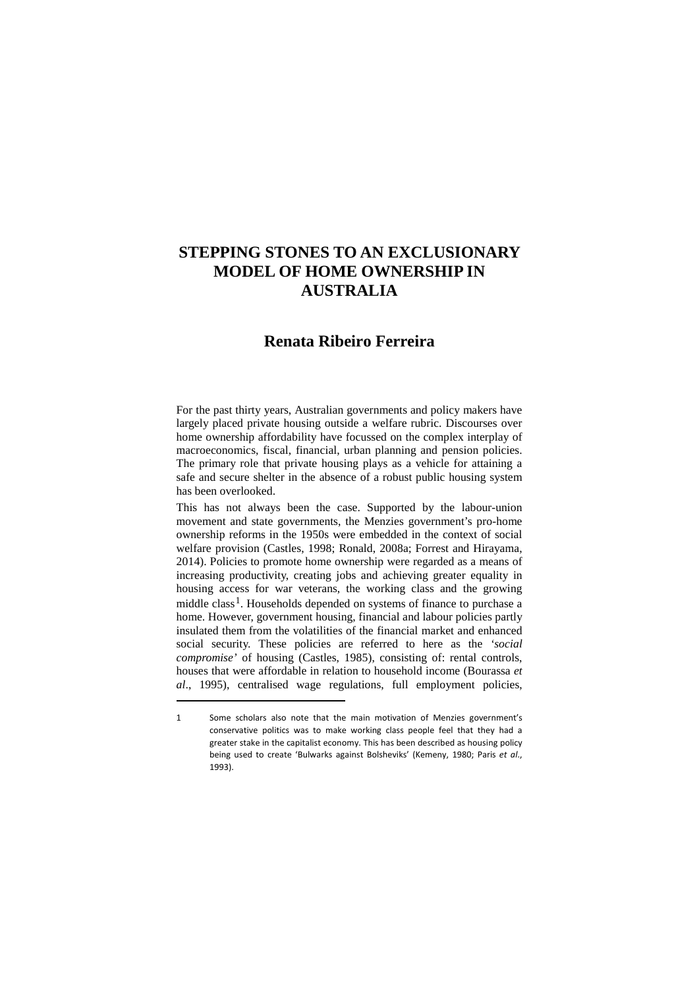# **STEPPING STONES TO AN EXCLUSIONARY MODEL OF HOME OWNERSHIP IN AUSTRALIA**

# **Renata Ribeiro Ferreira**

For the past thirty years, Australian governments and policy makers have largely placed private housing outside a welfare rubric. Discourses over home ownership affordability have focussed on the complex interplay of macroeconomics, fiscal, financial, urban planning and pension policies. The primary role that private housing plays as a vehicle for attaining a safe and secure shelter in the absence of a robust public housing system has been overlooked.

This has not always been the case. Supported by the labour-union movement and state governments, the Menzies government's pro-home ownership reforms in the 1950s were embedded in the context of social welfare provision (Castles, 1998; Ronald, 2008a; Forrest and Hirayama, 2014). Policies to promote home ownership were regarded as a means of increasing productivity, creating jobs and achieving greater equality in housing access for war veterans, the working class and the growing middle class<sup>1</sup>. Households depended on systems of finance to purchase a home. However, government housing, financial and labour policies partly insulated them from the volatilities of the financial market and enhanced social security. These policies are referred to here as the *'social compromise'* of housing (Castles, 1985), consisting of: rental controls, houses that were affordable in relation to household income (Bourassa *et al*., 1995), centralised wage regulations, full employment policies,

<span id="page-0-0"></span><sup>1</sup> Some scholars also note that the main motivation of Menzies government's conservative politics was to make working class people feel that they had a greater stake in the capitalist economy. This has been described as housing policy being used to create 'Bulwarks against Bolsheviks' (Kemeny, 1980; Paris *et al*., 1993).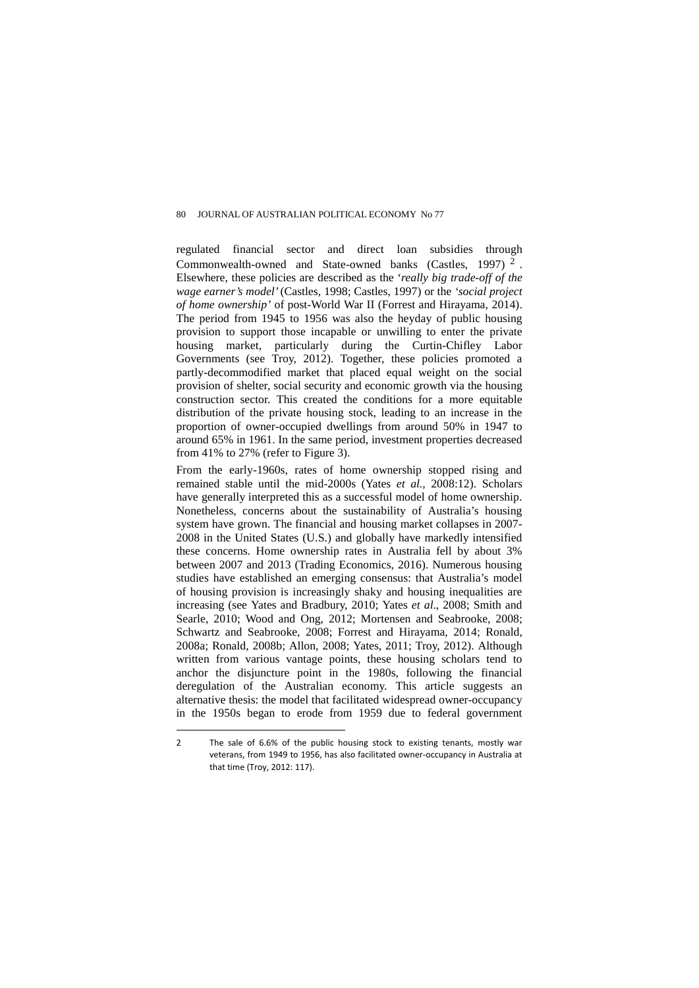regulated financial sector and direct loan subsidies through Commonwealth-owned and State-owned banks (Castles, 1997) [2](#page-1-0) . Elsewhere, these policies are described as the '*really big trade-off of the wage earner's model'* (Castles, 1998; Castles, 1997) or the *'social project of home ownership'* of post-World War II (Forrest and Hirayama, 2014). The period from 1945 to 1956 was also the heyday of public housing provision to support those incapable or unwilling to enter the private housing market, particularly during the Curtin-Chifley Labor Governments (see Troy, 2012). Together, these policies promoted a partly-decommodified market that placed equal weight on the social provision of shelter, social security and economic growth via the housing construction sector. This created the conditions for a more equitable distribution of the private housing stock, leading to an increase in the proportion of owner-occupied dwellings from around 50% in 1947 to around 65% in 1961. In the same period, investment properties decreased from 41% to 27% (refer to Figure 3).

From the early-1960s, rates of home ownership stopped rising and remained stable until the mid-2000s (Yates *et al.,* 2008:12). Scholars have generally interpreted this as a successful model of home ownership. Nonetheless, concerns about the sustainability of Australia's housing system have grown. The financial and housing market collapses in 2007- 2008 in the United States (U.S.) and globally have markedly intensified these concerns. Home ownership rates in Australia fell by about 3% between 2007 and 2013 (Trading Economics, 2016). Numerous housing studies have established an emerging consensus: that Australia's model of housing provision is increasingly shaky and housing inequalities are increasing (see Yates and Bradbury, 2010; Yates *et al*., 2008; Smith and Searle, 2010; Wood and Ong, 2012; Mortensen and Seabrooke, 2008; Schwartz and Seabrooke, 2008; Forrest and Hirayama, 2014; Ronald, 2008a; Ronald, 2008b; Allon, 2008; Yates, 2011; Troy, 2012). Although written from various vantage points, these housing scholars tend to anchor the disjuncture point in the 1980s, following the financial deregulation of the Australian economy. This article suggests an alternative thesis: the model that facilitated widespread owner-occupancy in the 1950s began to erode from 1959 due to federal government

<span id="page-1-0"></span><sup>2</sup> The sale of 6.6% of the public housing stock to existing tenants, mostly war veterans, from 1949 to 1956, has also facilitated owner-occupancy in Australia at that time (Troy, 2012: 117).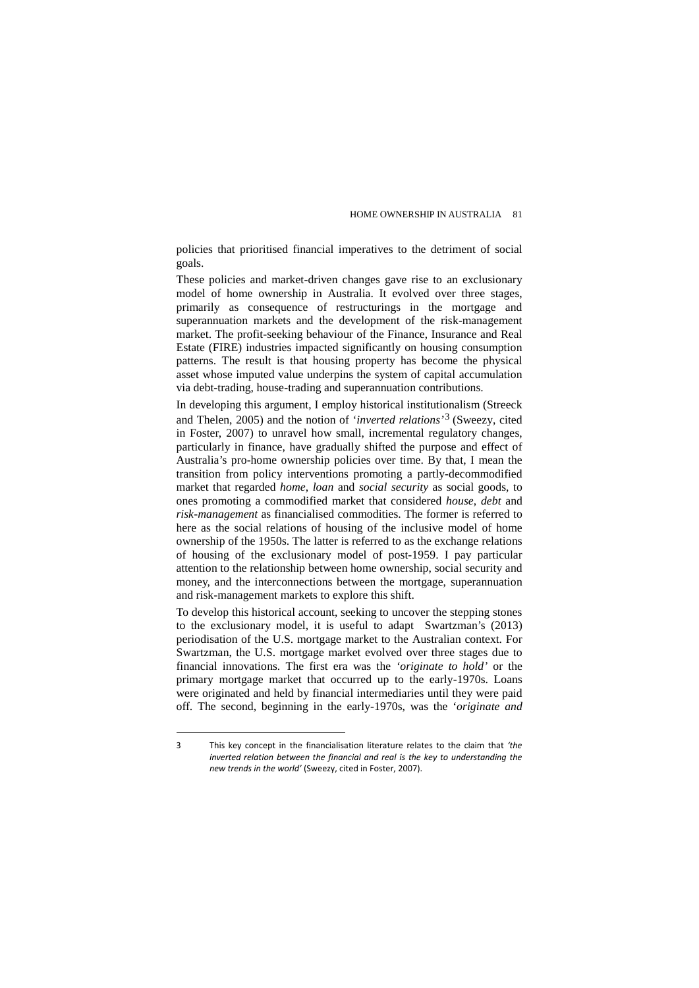policies that prioritised financial imperatives to the detriment of social goals.

These policies and market-driven changes gave rise to an exclusionary model of home ownership in Australia. It evolved over three stages, primarily as consequence of restructurings in the mortgage and superannuation markets and the development of the risk-management market. The profit-seeking behaviour of the Finance, Insurance and Real Estate (FIRE) industries impacted significantly on housing consumption patterns. The result is that housing property has become the physical asset whose imputed value underpins the system of capital accumulation via debt-trading, house-trading and superannuation contributions.

In developing this argument, I employ historical institutionalism (Streeck and Thelen, 2005) and the notion of '*inverted relations'*[3](#page-2-0) (Sweezy, cited in Foster, 2007) to unravel how small, incremental regulatory changes, particularly in finance, have gradually shifted the purpose and effect of Australia's pro-home ownership policies over time. By that, I mean the transition from policy interventions promoting a partly-decommodified market that regarded *home*, *loan* and *social security* as social goods, to ones promoting a commodified market that considered *house*, *debt* and *risk-management* as financialised commodities. The former is referred to here as the social relations of housing of the inclusive model of home ownership of the 1950s. The latter is referred to as the exchange relations of housing of the exclusionary model of post-1959. I pay particular attention to the relationship between home ownership, social security and money, and the interconnections between the mortgage, superannuation and risk-management markets to explore this shift.

To develop this historical account, seeking to uncover the stepping stones to the exclusionary model, it is useful to adapt Swartzman's (2013) periodisation of the U.S. mortgage market to the Australian context. For Swartzman, the U.S. mortgage market evolved over three stages due to financial innovations. The first era was the *'originate to hold'* or the primary mortgage market that occurred up to the early-1970s. Loans were originated and held by financial intermediaries until they were paid off. The second, beginning in the early-1970s, was the '*originate and* 

<span id="page-2-0"></span><sup>3</sup> This key concept in the financialisation literature relates to the claim that *'the inverted relation between the financial and real is the key to understanding the new trends in the world'* (Sweezy, cited in Foster, 2007).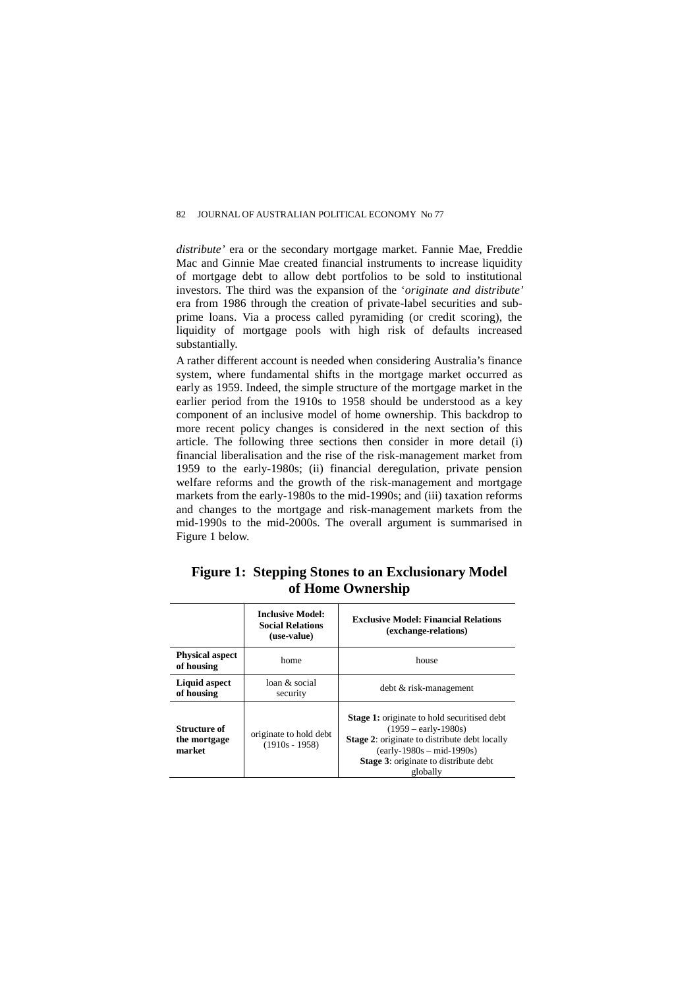*distribute'* era or the secondary mortgage market. Fannie Mae, Freddie Mac and Ginnie Mae created financial instruments to increase liquidity of mortgage debt to allow debt portfolios to be sold to institutional investors. The third was the expansion of the '*originate and distribute'*  era from 1986 through the creation of private-label securities and subprime loans. Via a process called pyramiding (or credit scoring), the liquidity of mortgage pools with high risk of defaults increased substantially.

A rather different account is needed when considering Australia's finance system, where fundamental shifts in the mortgage market occurred as early as 1959. Indeed, the simple structure of the mortgage market in the earlier period from the 1910s to 1958 should be understood as a key component of an inclusive model of home ownership. This backdrop to more recent policy changes is considered in the next section of this article. The following three sections then consider in more detail (i) financial liberalisation and the rise of the risk-management market from 1959 to the early-1980s; (ii) financial deregulation, private pension welfare reforms and the growth of the risk-management and mortgage markets from the early-1980s to the mid-1990s; and (iii) taxation reforms and changes to the mortgage and risk-management markets from the mid-1990s to the mid-2000s. The overall argument is summarised in Figure 1 below.

|                   | <b>Figure 1: Stepping Stones to an Exclusionary Model</b> |  |  |
|-------------------|-----------------------------------------------------------|--|--|
| of Home Ownership |                                                           |  |  |

|                                        | <b>Inclusive Model:</b><br><b>Social Relations</b><br>(use-value) | <b>Exclusive Model: Financial Relations</b><br>(exchange-relations)                                                                                                                                                                      |
|----------------------------------------|-------------------------------------------------------------------|------------------------------------------------------------------------------------------------------------------------------------------------------------------------------------------------------------------------------------------|
| <b>Physical aspect</b><br>of housing   | home                                                              | house                                                                                                                                                                                                                                    |
| Liquid aspect<br>of housing            | loan & social<br>security                                         | debt & risk-management                                                                                                                                                                                                                   |
| Structure of<br>the mortgage<br>market | originate to hold debt<br>$(1910s - 1958)$                        | <b>Stage 1:</b> originate to hold securitised debt<br>$(1959 - \text{early} - 1980s)$<br><b>Stage 2:</b> originate to distribute debt locally<br>$(early-1980s - mid-1990s)$<br><b>Stage 3:</b> originate to distribute debt<br>globally |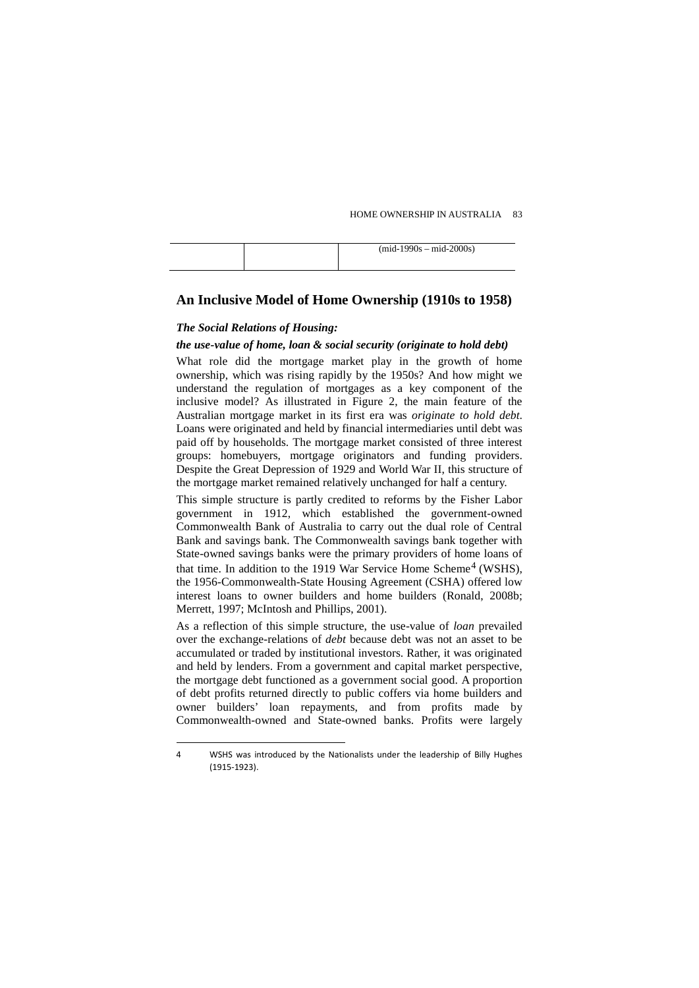|  | $(mid-1990s - mid-2000s)$ |
|--|---------------------------|
|  |                           |

### **An Inclusive Model of Home Ownership (1910s to 1958)**

## *The Social Relations of Housing:*

 $\overline{a}$ 

#### *the use-value of home, loan & social security (originate to hold debt)*

What role did the mortgage market play in the growth of home ownership, which was rising rapidly by the 1950s? And how might we understand the regulation of mortgages as a key component of the inclusive model? As illustrated in Figure 2, the main feature of the Australian mortgage market in its first era was *originate to hold debt*. Loans were originated and held by financial intermediaries until debt was paid off by households. The mortgage market consisted of three interest groups: homebuyers, mortgage originators and funding providers. Despite the Great Depression of 1929 and World War II, this structure of the mortgage market remained relatively unchanged for half a century.

This simple structure is partly credited to reforms by the Fisher Labor government in 1912, which established the government-owned Commonwealth Bank of Australia to carry out the dual role of Central Bank and savings bank. The Commonwealth savings bank together with State-owned savings banks were the primary providers of home loans of that time. In addition to the 1919 War Service Home Scheme<sup>[4](#page-4-0)</sup> (WSHS), the 1956-Commonwealth-State Housing Agreement (CSHA) offered low interest loans to owner builders and home builders (Ronald, 2008b; Merrett, 1997; McIntosh and Phillips, 2001).

As a reflection of this simple structure, the use-value of *loan* prevailed over the exchange-relations of *debt* because debt was not an asset to be accumulated or traded by institutional investors. Rather, it was originated and held by lenders. From a government and capital market perspective, the mortgage debt functioned as a government social good. A proportion of debt profits returned directly to public coffers via home builders and owner builders' loan repayments, and from profits made by Commonwealth-owned and State-owned banks. Profits were largely

<span id="page-4-0"></span><sup>4</sup> WSHS was introduced by the Nationalists under the leadership of Billy Hughes (1915-1923).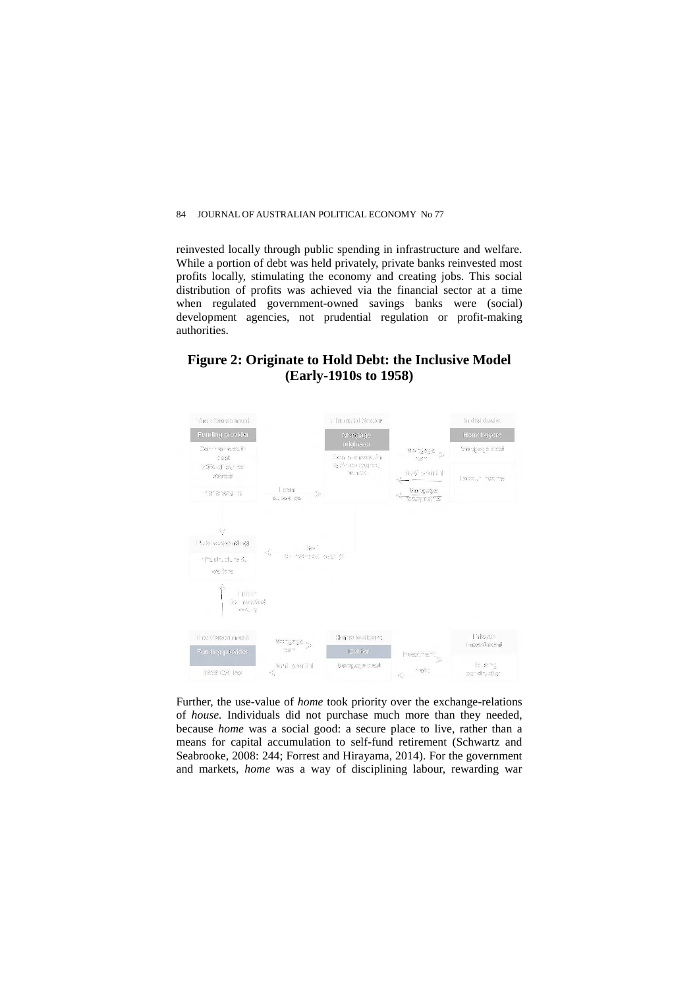reinvested locally through public spending in infrastructure and welfare. While a portion of debt was held privately, private banks reinvested most profits locally, stimulating the economy and creating jobs. This social distribution of profits was achieved via the financial sector at a time when regulated government-owned savings banks were (social) development agencies, not prudential regulation or profit-making authorities.

# **Figure 2: Originate to Hold Debt: the Inclusive Model (Early-1910s to 1958)**



Further, the use-value of *home* took priority over the exchange-relations of *house.* Individuals did not purchase much more than they needed, because *home* was a social good: a secure place to live, rather than a means for capital accumulation to self-fund retirement (Schwartz and Seabrooke, 2008: 244; Forrest and Hirayama, 2014). For the government and markets, *home* was a way of disciplining labour, rewarding war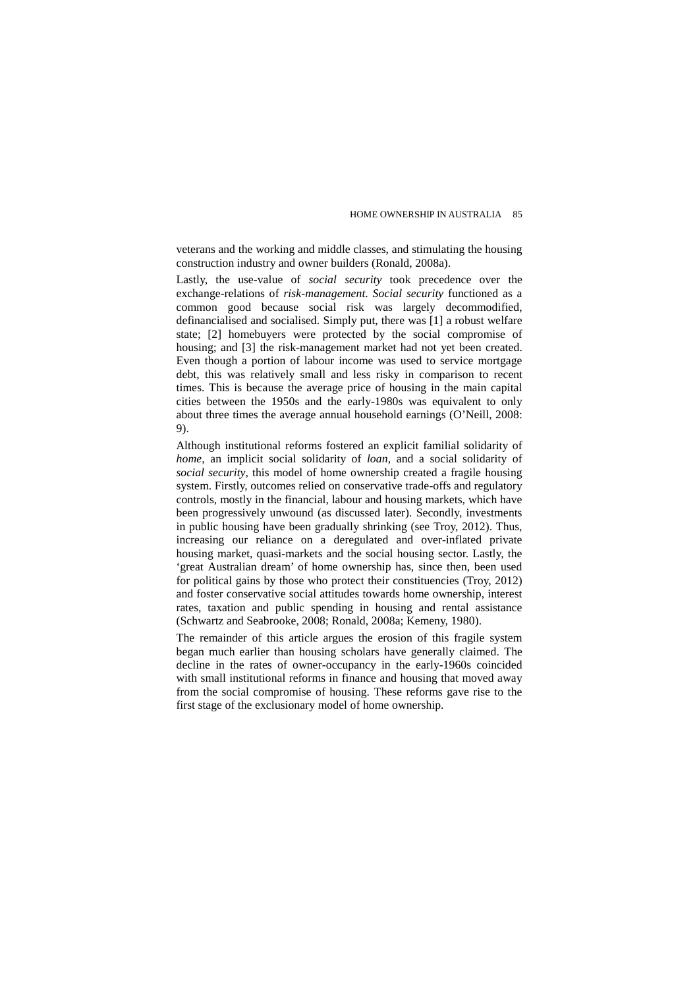veterans and the working and middle classes, and stimulating the housing construction industry and owner builders (Ronald, 2008a).

Lastly, the use-value of *social security* took precedence over the exchange-relations of *risk-management*. *Social security* functioned as a common good because social risk was largely decommodified, definancialised and socialised. Simply put, there was [1] a robust welfare state; [2] homebuyers were protected by the social compromise of housing; and [3] the risk-management market had not yet been created. Even though a portion of labour income was used to service mortgage debt, this was relatively small and less risky in comparison to recent times. This is because the average price of housing in the main capital cities between the 1950s and the early-1980s was equivalent to only about three times the average annual household earnings (O'Neill, 2008: 9).

Although institutional reforms fostered an explicit familial solidarity of *home,* an implicit social solidarity of *loan*, and a social solidarity of *social security*, this model of home ownership created a fragile housing system. Firstly, outcomes relied on conservative trade-offs and regulatory controls, mostly in the financial, labour and housing markets, which have been progressively unwound (as discussed later). Secondly, investments in public housing have been gradually shrinking (see Troy, 2012). Thus, increasing our reliance on a deregulated and over-inflated private housing market, quasi-markets and the social housing sector. Lastly, the 'great Australian dream' of home ownership has, since then, been used for political gains by those who protect their constituencies (Troy, 2012) and foster conservative social attitudes towards home ownership, interest rates, taxation and public spending in housing and rental assistance (Schwartz and Seabrooke, 2008; Ronald, 2008a; Kemeny, 1980).

The remainder of this article argues the erosion of this fragile system began much earlier than housing scholars have generally claimed. The decline in the rates of owner-occupancy in the early-1960s coincided with small institutional reforms in finance and housing that moved away from the social compromise of housing. These reforms gave rise to the first stage of the exclusionary model of home ownership.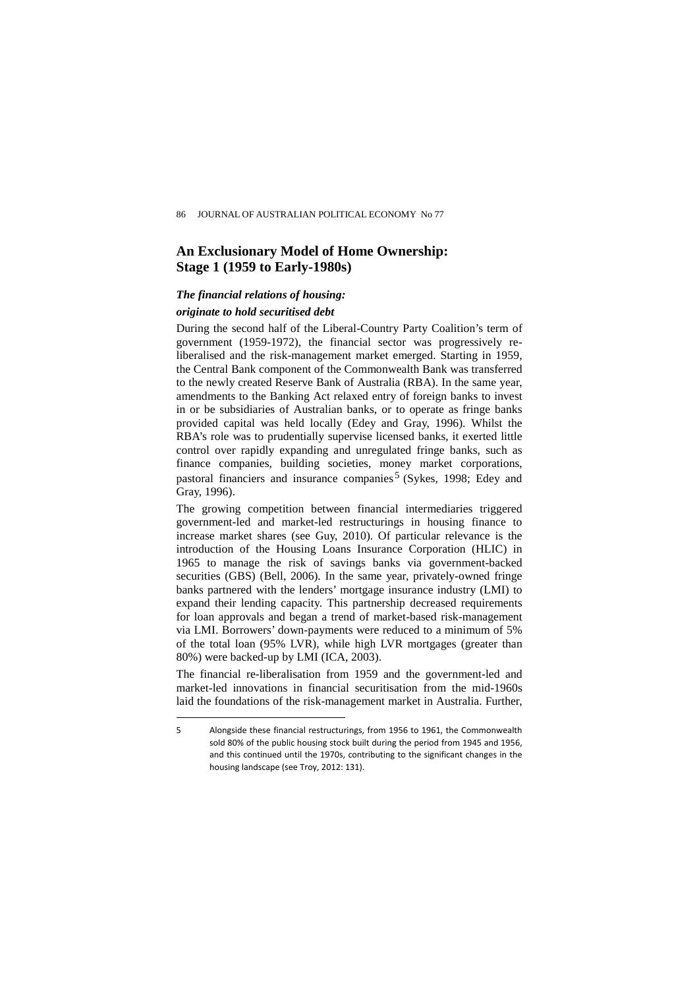# **An Exclusionary Model of Home Ownership: Stage 1 (1959 to Early-1980s)**

# *The financial relations of housing:*

# *originate to hold securitised debt*

 $\overline{a}$ 

During the second half of the Liberal-Country Party Coalition's term of government (1959-1972), the financial sector was progressively reliberalised and the risk-management market emerged. Starting in 1959, the Central Bank component of the Commonwealth Bank was transferred to the newly created Reserve Bank of Australia (RBA). In the same year, amendments to the Banking Act relaxed entry of foreign banks to invest in or be subsidiaries of Australian banks, or to operate as fringe banks provided capital was held locally (Edey and Gray, 1996). Whilst the RBA's role was to prudentially supervise licensed banks, it exerted little control over rapidly expanding and unregulated fringe banks, such as finance companies, building societies, money market corporations, pastoral financiers and insurance companies [5](#page-7-0) (Sykes, 1998; Edey and Gray, 1996).

The growing competition between financial intermediaries triggered government-led and market-led restructurings in housing finance to increase market shares (see Guy, 2010). Of particular relevance is the introduction of the Housing Loans Insurance Corporation (HLIC) in 1965 to manage the risk of savings banks via government-backed securities (GBS) (Bell, 2006). In the same year, privately-owned fringe banks partnered with the lenders' mortgage insurance industry (LMI) to expand their lending capacity. This partnership decreased requirements for loan approvals and began a trend of market-based risk-management via LMI. Borrowers' down-payments were reduced to a minimum of 5% of the total loan (95% LVR), while high LVR mortgages (greater than 80%) were backed-up by LMI (ICA, 2003).

The financial re-liberalisation from 1959 and the government-led and market-led innovations in financial securitisation from the mid-1960s laid the foundations of the risk-management market in Australia. Further,

<span id="page-7-0"></span><sup>5</sup> Alongside these financial restructurings, from 1956 to 1961, the Commonwealth sold 80% of the public housing stock built during the period from 1945 and 1956, and this continued until the 1970s, contributing to the significant changes in the housing landscape (see Troy, 2012: 131).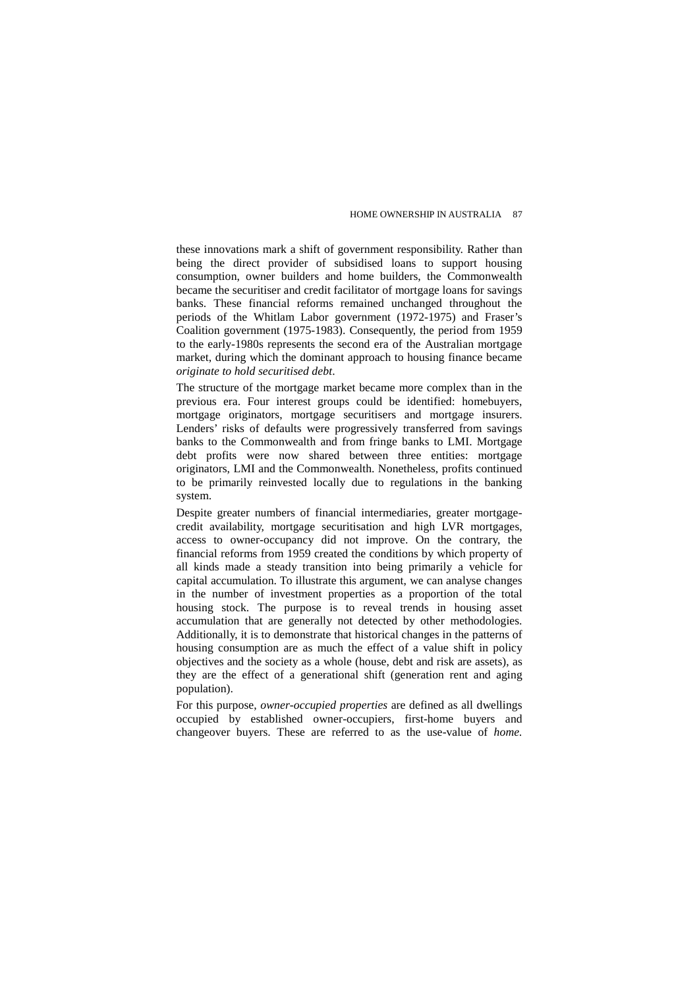these innovations mark a shift of government responsibility. Rather than being the direct provider of subsidised loans to support housing consumption, owner builders and home builders, the Commonwealth became the securitiser and credit facilitator of mortgage loans for savings banks. These financial reforms remained unchanged throughout the periods of the Whitlam Labor government (1972-1975) and Fraser's Coalition government (1975-1983). Consequently, the period from 1959 to the early-1980s represents the second era of the Australian mortgage market, during which the dominant approach to housing finance became *originate to hold securitised debt*.

The structure of the mortgage market became more complex than in the previous era. Four interest groups could be identified: homebuyers, mortgage originators, mortgage securitisers and mortgage insurers. Lenders' risks of defaults were progressively transferred from savings banks to the Commonwealth and from fringe banks to LMI. Mortgage debt profits were now shared between three entities: mortgage originators, LMI and the Commonwealth. Nonetheless, profits continued to be primarily reinvested locally due to regulations in the banking system.

Despite greater numbers of financial intermediaries, greater mortgagecredit availability, mortgage securitisation and high LVR mortgages, access to owner-occupancy did not improve. On the contrary, the financial reforms from 1959 created the conditions by which property of all kinds made a steady transition into being primarily a vehicle for capital accumulation. To illustrate this argument, we can analyse changes in the number of investment properties as a proportion of the total housing stock. The purpose is to reveal trends in housing asset accumulation that are generally not detected by other methodologies. Additionally, it is to demonstrate that historical changes in the patterns of housing consumption are as much the effect of a value shift in policy objectives and the society as a whole (house, debt and risk are assets), as they are the effect of a generational shift (generation rent and aging population).

For this purpose, *owner-occupied properties* are defined as all dwellings occupied by established owner-occupiers, first-home buyers and changeover buyers. These are referred to as the use-value of *home.*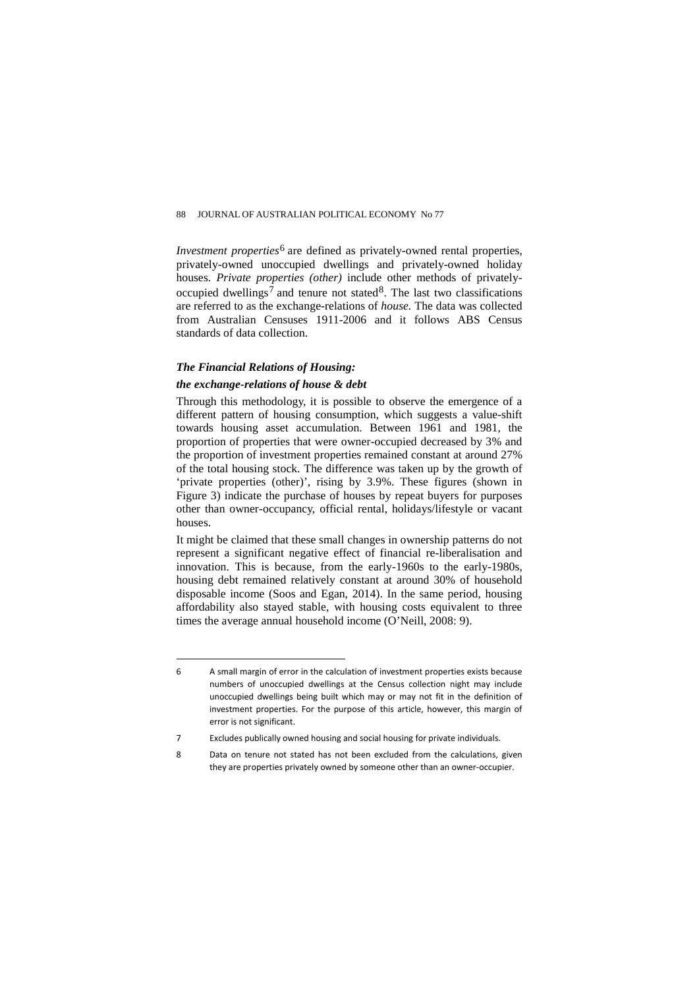*Investment properties*<sup>[6](#page-9-0)</sup> are defined as privately-owned rental properties, privately-owned unoccupied dwellings and privately-owned holiday houses. *Private properties (other)* include other methods of privately-occupied dwellings<sup>[7](#page-9-1)</sup> and tenure not stated<sup>[8](#page-9-2)</sup>. The last two classifications are referred to as the exchange-relations of *house.* The data was collected from Australian Censuses 1911-2006 and it follows ABS Census standards of data collection.

# *The Financial Relations of Housing: the exchange-relations of house & debt*

houses.

 $\overline{a}$ 

# Through this methodology, it is possible to observe the emergence of a different pattern of housing consumption, which suggests a value-shift towards housing asset accumulation. Between 1961 and 1981, the proportion of properties that were owner-occupied decreased by 3% and the proportion of investment properties remained constant at around 27% of the total housing stock. The difference was taken up by the growth of 'private properties (other)', rising by 3.9%. These figures (shown in Figure 3) indicate the purchase of houses by repeat buyers for purposes other than owner-occupancy, official rental, holidays/lifestyle or vacant

It might be claimed that these small changes in ownership patterns do not represent a significant negative effect of financial re-liberalisation and innovation. This is because, from the early-1960s to the early-1980s, housing debt remained relatively constant at around 30% of household disposable income (Soos and Egan, 2014). In the same period, housing affordability also stayed stable, with housing costs equivalent to three times the average annual household income (O'Neill, 2008: 9).

<span id="page-9-0"></span><sup>6</sup> A small margin of error in the calculation of investment properties exists because numbers of unoccupied dwellings at the Census collection night may include unoccupied dwellings being built which may or may not fit in the definition of investment properties. For the purpose of this article, however, this margin of error is not significant.

<sup>7</sup> Excludes publically owned housing and social housing for private individuals.

<span id="page-9-2"></span><span id="page-9-1"></span><sup>8</sup> Data on tenure not stated has not been excluded from the calculations, given they are properties privately owned by someone other than an owner-occupier.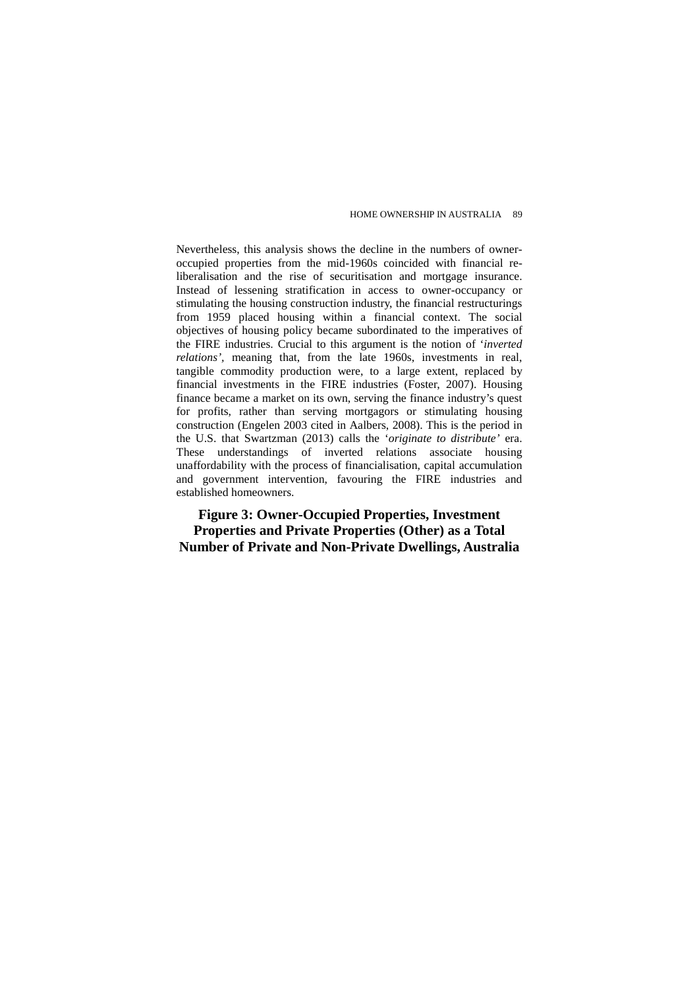Nevertheless, this analysis shows the decline in the numbers of owneroccupied properties from the mid-1960s coincided with financial reliberalisation and the rise of securitisation and mortgage insurance. Instead of lessening stratification in access to owner-occupancy or stimulating the housing construction industry, the financial restructurings from 1959 placed housing within a financial context. The social objectives of housing policy became subordinated to the imperatives of the FIRE industries. Crucial to this argument is the notion of '*inverted relations',* meaning that, from the late 1960s, investments in real, tangible commodity production were, to a large extent, replaced by financial investments in the FIRE industries (Foster, 2007). Housing finance became a market on its own, serving the finance industry's quest for profits, rather than serving mortgagors or stimulating housing construction (Engelen 2003 cited in Aalbers, 2008). This is the period in the U.S. that Swartzman (2013) calls the '*originate to distribute'* era. These understandings of inverted relations associate housing unaffordability with the process of financialisation, capital accumulation and government intervention, favouring the FIRE industries and established homeowners.

**Figure 3: Owner-Occupied Properties, Investment Properties and Private Properties (Other) as a Total Number of Private and Non-Private Dwellings, Australia**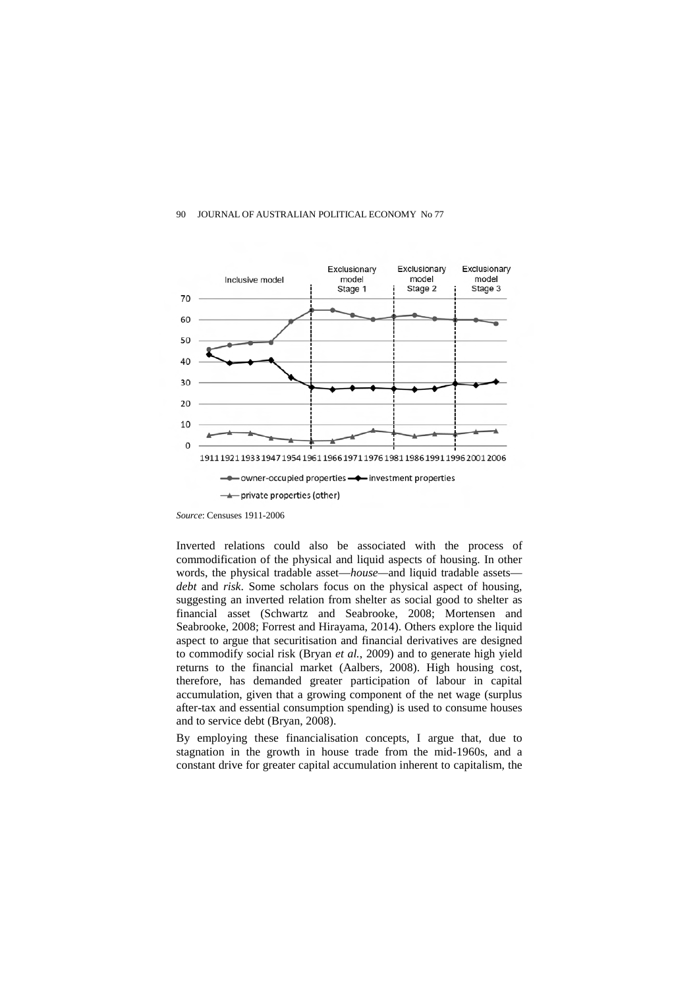

*Source*: Censuses 1911-2006

Inverted relations could also be associated with the process of commodification of the physical and liquid aspects of housing. In other words, the physical tradable asset—*house—*and liquid tradable assets *debt* and *risk*. Some scholars focus on the physical aspect of housing, suggesting an inverted relation from shelter as social good to shelter as financial asset (Schwartz and Seabrooke, 2008; Mortensen and Seabrooke, 2008; Forrest and Hirayama, 2014). Others explore the liquid aspect to argue that securitisation and financial derivatives are designed to commodify social risk (Bryan *et al.*, 2009) and to generate high yield returns to the financial market (Aalbers, 2008). High housing cost, therefore, has demanded greater participation of labour in capital accumulation, given that a growing component of the net wage (surplus after-tax and essential consumption spending) is used to consume houses and to service debt (Bryan, 2008).

By employing these financialisation concepts, I argue that, due to stagnation in the growth in house trade from the mid-1960s, and a constant drive for greater capital accumulation inherent to capitalism, the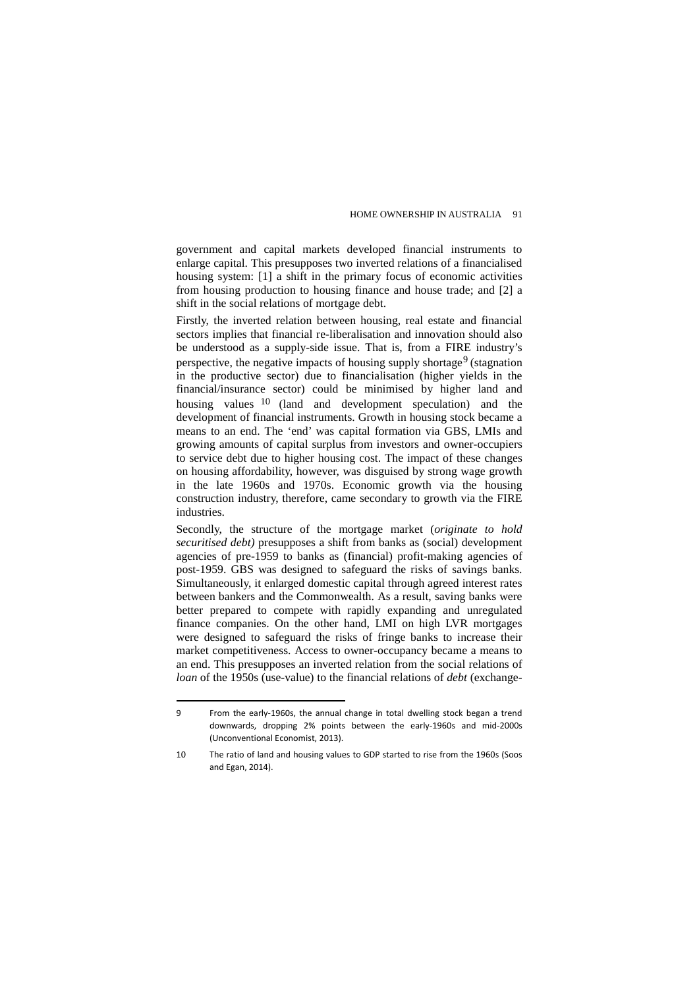government and capital markets developed financial instruments to enlarge capital. This presupposes two inverted relations of a financialised housing system: [1] a shift in the primary focus of economic activities from housing production to housing finance and house trade; and [2] a shift in the social relations of mortgage debt.

Firstly, the inverted relation between housing, real estate and financial sectors implies that financial re-liberalisation and innovation should also be understood as a supply-side issue. That is, from a FIRE industry's perspective, the negative impacts of housing supply shortage<sup>[9](#page-12-0)</sup> (stagnation in the productive sector) due to financialisation (higher yields in the financial/insurance sector) could be minimised by higher land and housing values [10](#page-12-1) (land and development speculation) and the development of financial instruments. Growth in housing stock became a means to an end. The 'end' was capital formation via GBS, LMIs and growing amounts of capital surplus from investors and owner-occupiers to service debt due to higher housing cost. The impact of these changes on housing affordability, however, was disguised by strong wage growth in the late 1960s and 1970s. Economic growth via the housing construction industry, therefore, came secondary to growth via the FIRE industries.

Secondly, the structure of the mortgage market (*originate to hold securitised debt)* presupposes a shift from banks as (social) development agencies of pre-1959 to banks as (financial) profit-making agencies of post-1959. GBS was designed to safeguard the risks of savings banks. Simultaneously, it enlarged domestic capital through agreed interest rates between bankers and the Commonwealth. As a result, saving banks were better prepared to compete with rapidly expanding and unregulated finance companies. On the other hand, LMI on high LVR mortgages were designed to safeguard the risks of fringe banks to increase their market competitiveness. Access to owner-occupancy became a means to an end. This presupposes an inverted relation from the social relations of *loan* of the 1950s (use-value) to the financial relations of *debt* (exchange-

<span id="page-12-0"></span><sup>9</sup> From the early-1960s, the annual change in total dwelling stock began a trend downwards, dropping 2% points between the early-1960s and mid-2000s (Unconventional Economist, 2013).

<span id="page-12-1"></span><sup>10</sup> The ratio of land and housing values to GDP started to rise from the 1960s (Soos and Egan, 2014).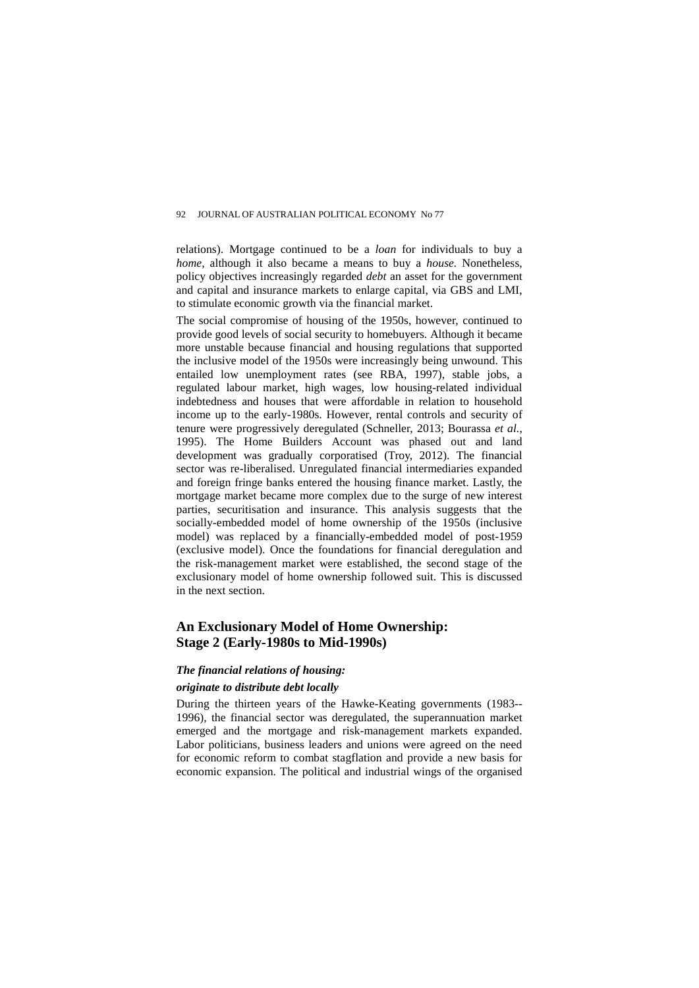relations). Mortgage continued to be a *loan* for individuals to buy a *home,* although it also became a means to buy a *house.* Nonetheless, policy objectives increasingly regarded *debt* an asset for the government and capital and insurance markets to enlarge capital, via GBS and LMI, to stimulate economic growth via the financial market.

The social compromise of housing of the 1950s, however, continued to provide good levels of social security to homebuyers. Although it became more unstable because financial and housing regulations that supported the inclusive model of the 1950s were increasingly being unwound. This entailed low unemployment rates (see RBA, 1997), stable jobs, a regulated labour market, high wages, low housing-related individual indebtedness and houses that were affordable in relation to household income up to the early-1980s. However, rental controls and security of tenure were progressively deregulated (Schneller, 2013; Bourassa *et al.*, 1995). The Home Builders Account was phased out and land development was gradually corporatised (Troy, 2012). The financial sector was re-liberalised. Unregulated financial intermediaries expanded and foreign fringe banks entered the housing finance market. Lastly, the mortgage market became more complex due to the surge of new interest parties, securitisation and insurance. This analysis suggests that the socially-embedded model of home ownership of the 1950s (inclusive model) was replaced by a financially-embedded model of post-1959 (exclusive model). Once the foundations for financial deregulation and the risk-management market were established, the second stage of the exclusionary model of home ownership followed suit. This is discussed in the next section.

# **An Exclusionary Model of Home Ownership: Stage 2 (Early-1980s to Mid-1990s)**

### *The financial relations of housing:*

#### *originate to distribute debt locally*

During the thirteen years of the Hawke-Keating governments (1983-- 1996), the financial sector was deregulated, the superannuation market emerged and the mortgage and risk-management markets expanded. Labor politicians, business leaders and unions were agreed on the need for economic reform to combat stagflation and provide a new basis for economic expansion. The political and industrial wings of the organised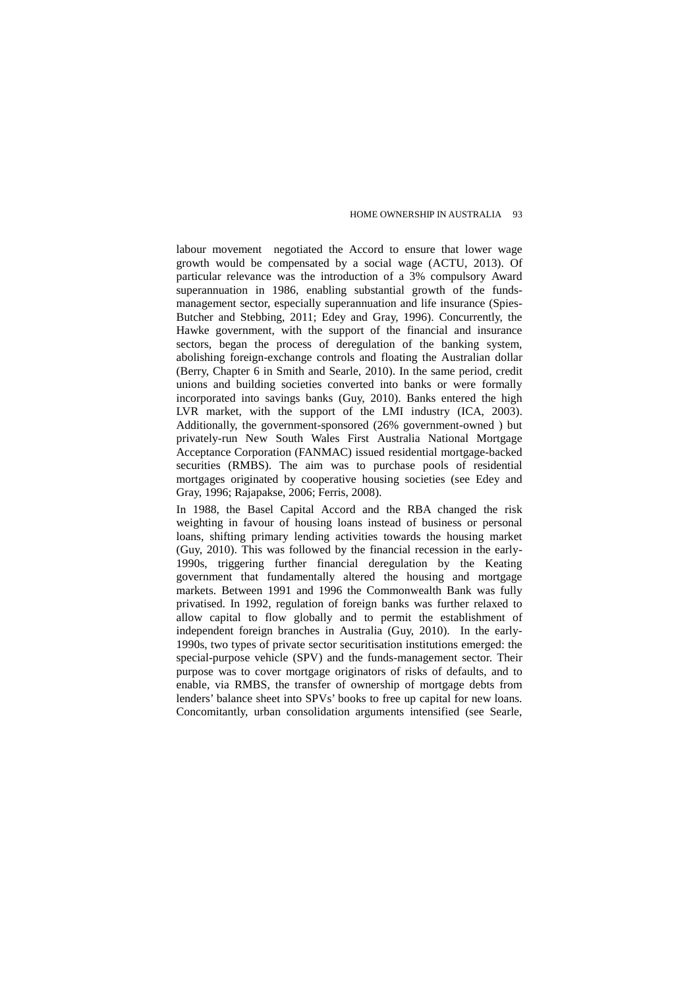labour movement negotiated the Accord to ensure that lower wage growth would be compensated by a social wage (ACTU, 2013). Of particular relevance was the introduction of a 3% compulsory Award superannuation in 1986, enabling substantial growth of the fundsmanagement sector, especially superannuation and life insurance (Spies-Butcher and Stebbing, 2011; Edey and Gray, 1996). Concurrently, the Hawke government, with the support of the financial and insurance sectors, began the process of deregulation of the banking system, abolishing foreign-exchange controls and floating the Australian dollar (Berry, Chapter 6 in Smith and Searle, 2010). In the same period, credit unions and building societies converted into banks or were formally incorporated into savings banks (Guy, 2010). Banks entered the high LVR market, with the support of the LMI industry (ICA, 2003). Additionally, the government-sponsored (26% government-owned ) but privately-run New South Wales First Australia National Mortgage Acceptance Corporation (FANMAC) issued residential mortgage-backed securities (RMBS). The aim was to purchase pools of residential mortgages originated by cooperative housing societies (see Edey and Gray, 1996; Rajapakse, 2006; Ferris, 2008).

In 1988, the Basel Capital Accord and the RBA changed the risk weighting in favour of housing loans instead of business or personal loans, shifting primary lending activities towards the housing market (Guy, 2010). This was followed by the financial recession in the early-1990s, triggering further financial deregulation by the Keating government that fundamentally altered the housing and mortgage markets. Between 1991 and 1996 the Commonwealth Bank was fully privatised. In 1992, regulation of foreign banks was further relaxed to allow capital to flow globally and to permit the establishment of independent foreign branches in Australia (Guy, 2010). In the early-1990s, two types of private sector securitisation institutions emerged: the special-purpose vehicle (SPV) and the funds-management sector. Their purpose was to cover mortgage originators of risks of defaults, and to enable, via RMBS, the transfer of ownership of mortgage debts from lenders' balance sheet into SPVs' books to free up capital for new loans. Concomitantly, urban consolidation arguments intensified (see Searle,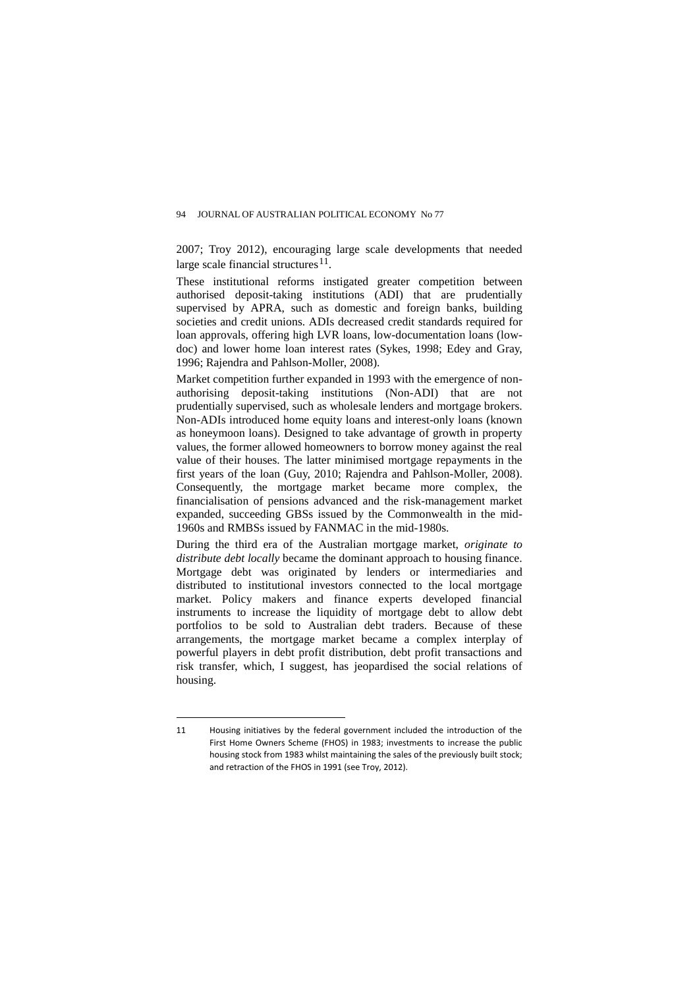2007; Troy 2012), encouraging large scale developments that needed large scale financial structures<sup>[11](#page-15-0)</sup>.

These institutional reforms instigated greater competition between authorised deposit-taking institutions (ADI) that are prudentially supervised by APRA, such as domestic and foreign banks, building societies and credit unions. ADIs decreased credit standards required for loan approvals, offering high LVR loans, low-documentation loans (lowdoc) and lower home loan interest rates (Sykes, 1998; Edey and Gray, 1996; Rajendra and Pahlson-Moller, 2008).

Market competition further expanded in 1993 with the emergence of nonauthorising deposit-taking institutions (Non-ADI) that are not prudentially supervised, such as wholesale lenders and mortgage brokers. Non-ADIs introduced home equity loans and interest-only loans (known as honeymoon loans). Designed to take advantage of growth in property values, the former allowed homeowners to borrow money against the real value of their houses. The latter minimised mortgage repayments in the first years of the loan (Guy, 2010; Rajendra and Pahlson-Moller, 2008). Consequently, the mortgage market became more complex, the financialisation of pensions advanced and the risk-management market expanded, succeeding GBSs issued by the Commonwealth in the mid-1960s and RMBSs issued by FANMAC in the mid-1980s.

During the third era of the Australian mortgage market, *originate to distribute debt locally* became the dominant approach to housing finance. Mortgage debt was originated by lenders or intermediaries and distributed to institutional investors connected to the local mortgage market. Policy makers and finance experts developed financial instruments to increase the liquidity of mortgage debt to allow debt portfolios to be sold to Australian debt traders. Because of these arrangements, the mortgage market became a complex interplay of powerful players in debt profit distribution, debt profit transactions and risk transfer, which, I suggest, has jeopardised the social relations of housing.

<span id="page-15-0"></span> $\overline{a}$ 11 Housing initiatives by the federal government included the introduction of the First Home Owners Scheme (FHOS) in 1983; investments to increase the public housing stock from 1983 whilst maintaining the sales of the previously built stock; and retraction of the FHOS in 1991 (see Troy, 2012).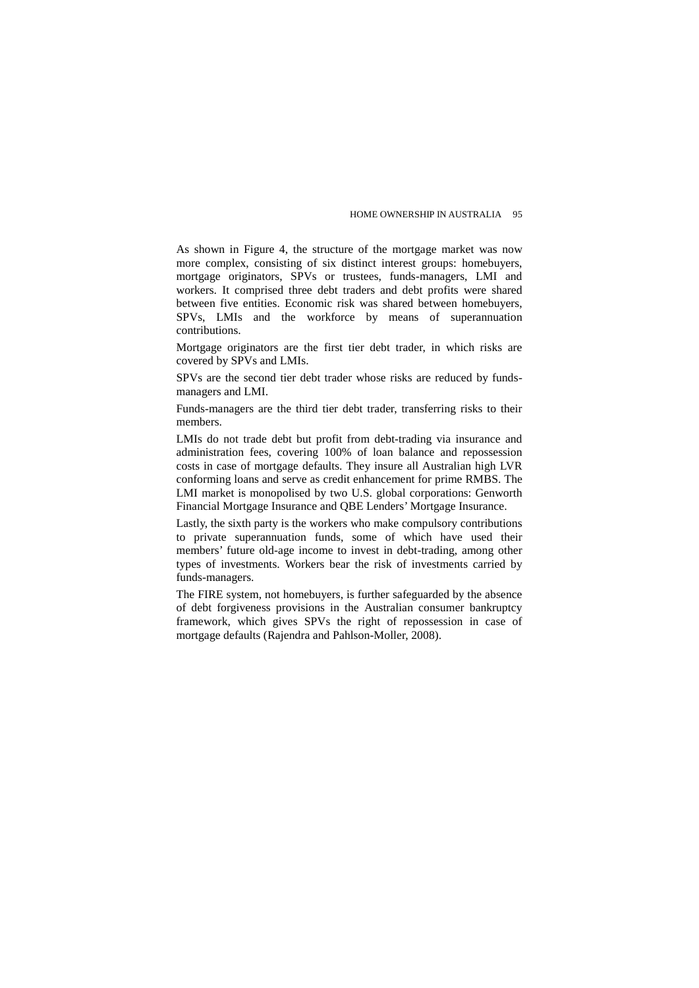As shown in Figure 4, the structure of the mortgage market was now more complex, consisting of six distinct interest groups: homebuyers, mortgage originators, SPVs or trustees, funds-managers, LMI and workers. It comprised three debt traders and debt profits were shared between five entities. Economic risk was shared between homebuyers, SPVs, LMIs and the workforce by means of superannuation contributions.

Mortgage originators are the first tier debt trader, in which risks are covered by SPVs and LMIs.

SPVs are the second tier debt trader whose risks are reduced by fundsmanagers and LMI.

Funds-managers are the third tier debt trader, transferring risks to their members.

LMIs do not trade debt but profit from debt-trading via insurance and administration fees, covering 100% of loan balance and repossession costs in case of mortgage defaults. They insure all Australian high LVR conforming loans and serve as credit enhancement for prime RMBS. The LMI market is monopolised by two U.S. global corporations: Genworth Financial Mortgage Insurance and QBE Lenders' Mortgage Insurance.

Lastly, the sixth party is the workers who make compulsory contributions to private superannuation funds, some of which have used their members' future old-age income to invest in debt-trading, among other types of investments. Workers bear the risk of investments carried by funds-managers.

The FIRE system, not homebuyers, is further safeguarded by the absence of debt forgiveness provisions in the Australian consumer bankruptcy framework, which gives SPVs the right of repossession in case of mortgage defaults (Rajendra and Pahlson-Moller, 2008).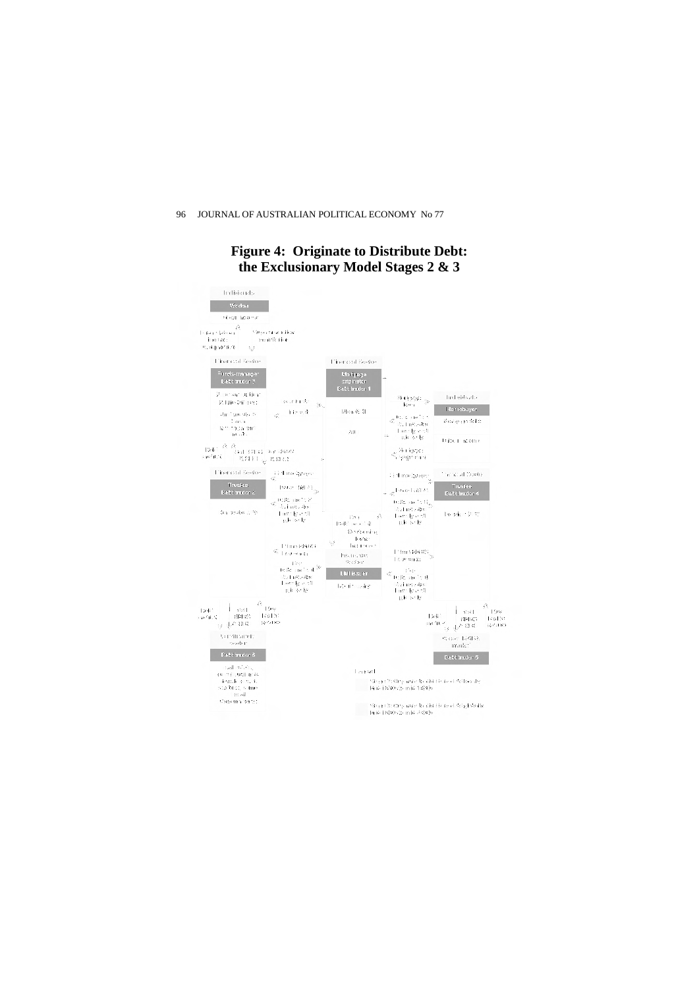# **Figure 4: Originate to Distribute Debt: the Exclusionary Model Stages 2 & 3**

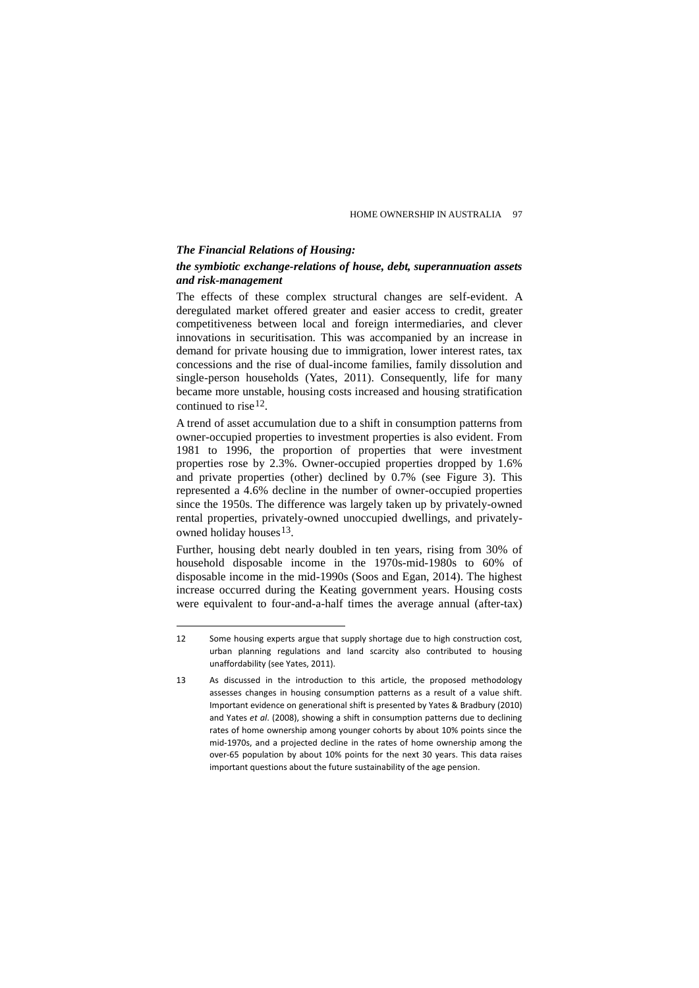#### *The Financial Relations of Housing:*

 $\overline{a}$ 

## *the symbiotic exchange-relations of house, debt, superannuation assets and risk-management*

The effects of these complex structural changes are self-evident. A deregulated market offered greater and easier access to credit, greater competitiveness between local and foreign intermediaries, and clever innovations in securitisation. This was accompanied by an increase in demand for private housing due to immigration, lower interest rates, tax concessions and the rise of dual-income families, family dissolution and single-person households (Yates, 2011). Consequently, life for many became more unstable, housing costs increased and housing stratification continued to rise  $12$ .

A trend of asset accumulation due to a shift in consumption patterns from owner-occupied properties to investment properties is also evident. From 1981 to 1996, the proportion of properties that were investment properties rose by 2.3%. Owner-occupied properties dropped by 1.6% and private properties (other) declined by 0.7% (see Figure 3). This represented a 4.6% decline in the number of owner-occupied properties since the 1950s. The difference was largely taken up by privately-owned rental properties, privately-owned unoccupied dwellings, and privatelyowned holiday houses $13$ .

Further, housing debt nearly doubled in ten years, rising from 30% of household disposable income in the 1970s-mid-1980s to 60% of disposable income in the mid-1990s (Soos and Egan, 2014). The highest increase occurred during the Keating government years. Housing costs were equivalent to four-and-a-half times the average annual (after-tax)

<span id="page-18-0"></span><sup>12</sup> Some housing experts argue that supply shortage due to high construction cost, urban planning regulations and land scarcity also contributed to housing unaffordability (see Yates, 2011).

<span id="page-18-1"></span><sup>13</sup> As discussed in the introduction to this article, the proposed methodology assesses changes in housing consumption patterns as a result of a value shift. Important evidence on generational shift is presented by Yates & Bradbury (2010) and Yates *et al*. (2008), showing a shift in consumption patterns due to declining rates of home ownership among younger cohorts by about 10% points since the mid-1970s, and a projected decline in the rates of home ownership among the over-65 population by about 10% points for the next 30 years. This data raises important questions about the future sustainability of the age pension.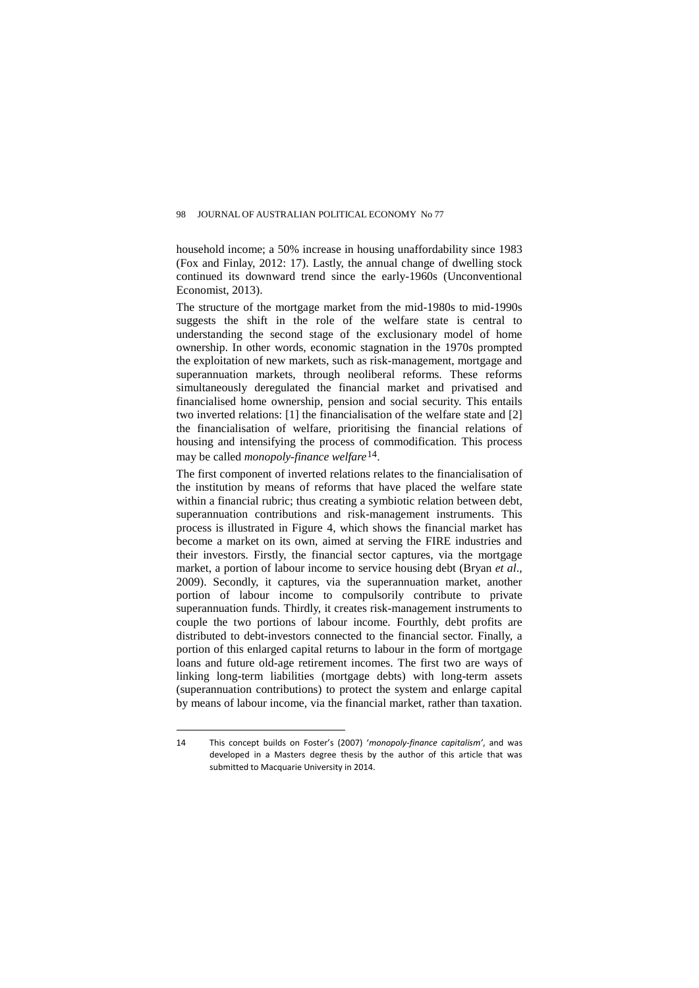household income; a 50% increase in housing unaffordability since 1983 (Fox and Finlay, 2012: 17). Lastly, the annual change of dwelling stock continued its downward trend since the early-1960s (Unconventional Economist, 2013).

The structure of the mortgage market from the mid-1980s to mid-1990s suggests the shift in the role of the welfare state is central to understanding the second stage of the exclusionary model of home ownership. In other words, economic stagnation in the 1970s prompted the exploitation of new markets, such as risk-management, mortgage and superannuation markets, through neoliberal reforms. These reforms simultaneously deregulated the financial market and privatised and financialised home ownership, pension and social security. This entails two inverted relations: [1] the financialisation of the welfare state and [2] the financialisation of welfare, prioritising the financial relations of housing and intensifying the process of commodification. This process may be called *monopoly-finance welfare*[14](#page-19-0).

The first component of inverted relations relates to the financialisation of the institution by means of reforms that have placed the welfare state within a financial rubric; thus creating a symbiotic relation between debt, superannuation contributions and risk-management instruments. This process is illustrated in Figure 4, which shows the financial market has become a market on its own, aimed at serving the FIRE industries and their investors. Firstly, the financial sector captures, via the mortgage market, a portion of labour income to service housing debt (Bryan *et al*., 2009). Secondly, it captures, via the superannuation market, another portion of labour income to compulsorily contribute to private superannuation funds. Thirdly, it creates risk-management instruments to couple the two portions of labour income. Fourthly, debt profits are distributed to debt-investors connected to the financial sector. Finally, a portion of this enlarged capital returns to labour in the form of mortgage loans and future old-age retirement incomes. The first two are ways of linking long-term liabilities (mortgage debts) with long-term assets (superannuation contributions) to protect the system and enlarge capital by means of labour income, via the financial market, rather than taxation.

<span id="page-19-0"></span><sup>14</sup> This concept builds on Foster's (2007) '*monopoly-finance capitalism'*, and was developed in a Masters degree thesis by the author of this article that was submitted to Macquarie University in 2014.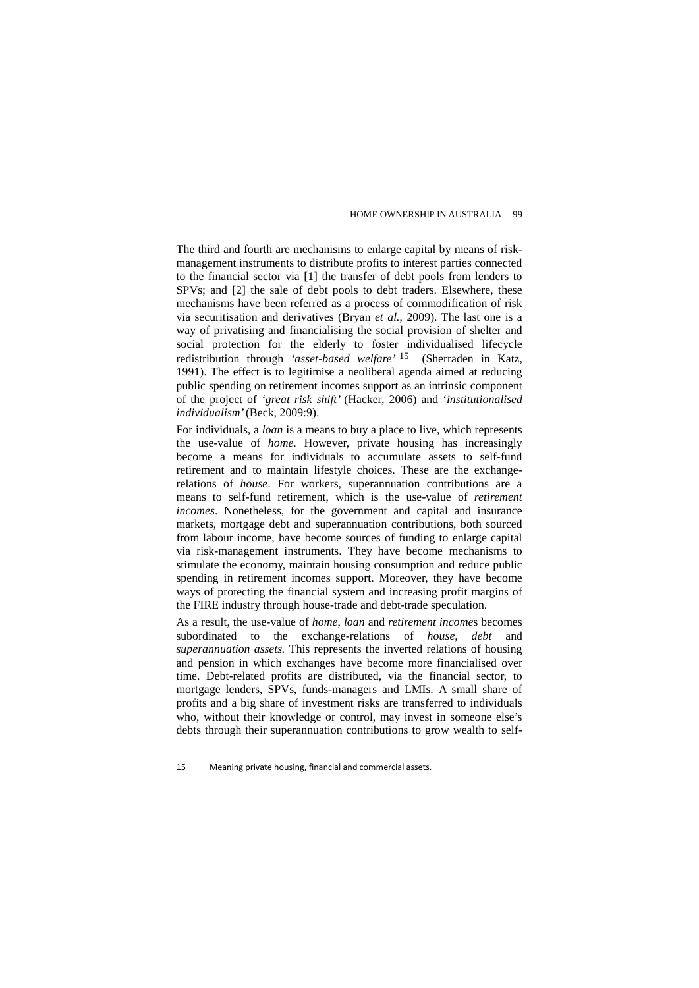The third and fourth are mechanisms to enlarge capital by means of riskmanagement instruments to distribute profits to interest parties connected to the financial sector via [1] the transfer of debt pools from lenders to SPVs; and [2] the sale of debt pools to debt traders. Elsewhere, these mechanisms have been referred as a process of commodification of risk via securitisation and derivatives (Bryan *et al.*, 2009). The last one is a way of privatising and financialising the social provision of shelter and social protection for the elderly to foster individualised lifecycle redistribution through *'asset-based welfare'* [15](#page-20-0) (Sherraden in Katz, 1991). The effect is to legitimise a neoliberal agenda aimed at reducing public spending on retirement incomes support as an intrinsic component of the project of *'great risk shift'* (Hacker, 2006) and '*institutionalised individualism'* (Beck, 2009:9).

For individuals, a *loan* is a means to buy a place to live, which represents the use-value of *home*. However, private housing has increasingly become a means for individuals to accumulate assets to self-fund retirement and to maintain lifestyle choices. These are the exchangerelations of *house*. For workers, superannuation contributions are a means to self-fund retirement, which is the use-value of *retirement incomes*. Nonetheless, for the government and capital and insurance markets, mortgage debt and superannuation contributions, both sourced from labour income, have become sources of funding to enlarge capital via risk-management instruments. They have become mechanisms to stimulate the economy, maintain housing consumption and reduce public spending in retirement incomes support. Moreover, they have become ways of protecting the financial system and increasing profit margins of the FIRE industry through house-trade and debt-trade speculation.

As a result, the use-value of *home*, *loan* and *retirement income*s becomes subordinated to the exchange-relations of *house, debt* and *superannuation assets.* This represents the inverted relations of housing and pension in which exchanges have become more financialised over time. Debt-related profits are distributed, via the financial sector, to mortgage lenders, SPVs, funds-managers and LMIs. A small share of profits and a big share of investment risks are transferred to individuals who, without their knowledge or control, may invest in someone else's debts through their superannuation contributions to grow wealth to self-

<span id="page-20-0"></span><sup>15</sup> Meaning private housing, financial and commercial assets.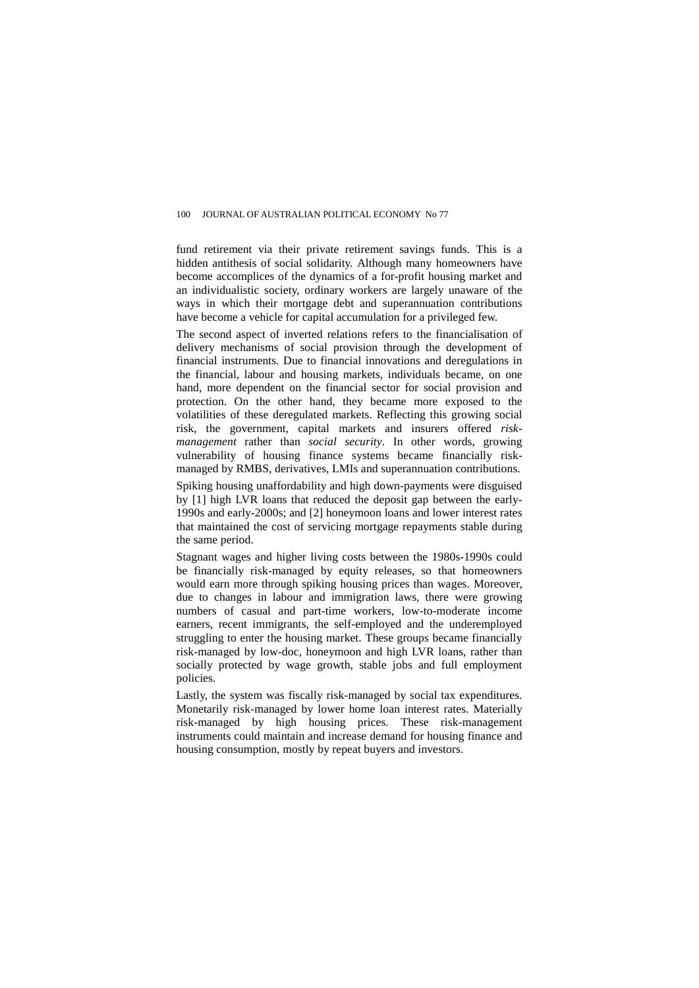fund retirement via their private retirement savings funds. This is a hidden antithesis of social solidarity. Although many homeowners have become accomplices of the dynamics of a for-profit housing market and an individualistic society, ordinary workers are largely unaware of the ways in which their mortgage debt and superannuation contributions have become a vehicle for capital accumulation for a privileged few.

The second aspect of inverted relations refers to the financialisation of delivery mechanisms of social provision through the development of financial instruments. Due to financial innovations and deregulations in the financial, labour and housing markets, individuals became, on one hand, more dependent on the financial sector for social provision and protection. On the other hand, they became more exposed to the volatilities of these deregulated markets. Reflecting this growing social risk, the government, capital markets and insurers offered *riskmanagement* rather than *social security*. In other words, growing vulnerability of housing finance systems became financially riskmanaged by RMBS, derivatives, LMIs and superannuation contributions.

Spiking housing unaffordability and high down-payments were disguised by [1] high LVR loans that reduced the deposit gap between the early-1990s and early-2000s; and [2] honeymoon loans and lower interest rates that maintained the cost of servicing mortgage repayments stable during the same period.

Stagnant wages and higher living costs between the 1980s-1990s could be financially risk-managed by equity releases, so that homeowners would earn more through spiking housing prices than wages. Moreover, due to changes in labour and immigration laws, there were growing numbers of casual and part-time workers, low-to-moderate income earners, recent immigrants, the self-employed and the underemployed struggling to enter the housing market. These groups became financially risk-managed by low-doc, honeymoon and high LVR loans, rather than socially protected by wage growth, stable jobs and full employment policies.

Lastly, the system was fiscally risk-managed by social tax expenditures. Monetarily risk-managed by lower home loan interest rates. Materially risk-managed by high housing prices. These risk-management instruments could maintain and increase demand for housing finance and housing consumption, mostly by repeat buyers and investors.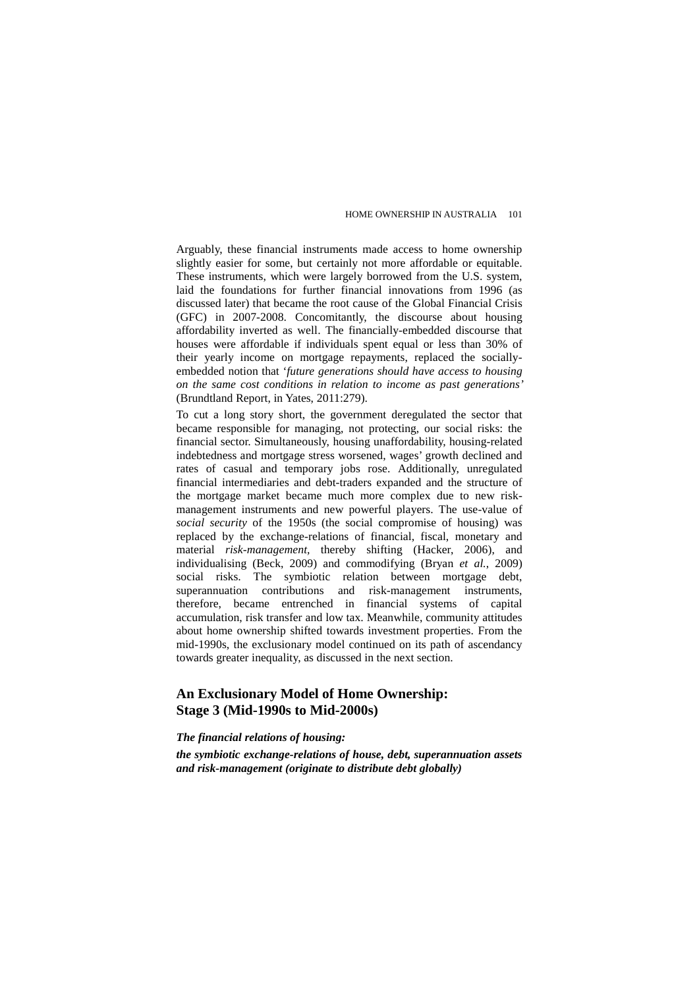Arguably, these financial instruments made access to home ownership slightly easier for some, but certainly not more affordable or equitable. These instruments, which were largely borrowed from the U.S. system, laid the foundations for further financial innovations from 1996 (as discussed later) that became the root cause of the Global Financial Crisis (GFC) in 2007-2008. Concomitantly, the discourse about housing affordability inverted as well. The financially-embedded discourse that houses were affordable if individuals spent equal or less than 30% of their yearly income on mortgage repayments, replaced the sociallyembedded notion that '*future generations should have access to housing on the same cost conditions in relation to income as past generations'*  (Brundtland Report, in Yates, 2011:279).

To cut a long story short, the government deregulated the sector that became responsible for managing, not protecting, our social risks: the financial sector. Simultaneously, housing unaffordability, housing-related indebtedness and mortgage stress worsened, wages' growth declined and rates of casual and temporary jobs rose. Additionally, unregulated financial intermediaries and debt-traders expanded and the structure of the mortgage market became much more complex due to new riskmanagement instruments and new powerful players. The use-value of *social security* of the 1950s (the social compromise of housing) was replaced by the exchange-relations of financial, fiscal, monetary and material *risk-management,* thereby shifting (Hacker, 2006), and individualising (Beck, 2009) and commodifying (Bryan *et al.*, 2009) social risks. The symbiotic relation between mortgage debt, superannuation contributions and risk-management instruments, therefore, became entrenched in financial systems of capital accumulation, risk transfer and low tax. Meanwhile, community attitudes about home ownership shifted towards investment properties. From the mid-1990s, the exclusionary model continued on its path of ascendancy towards greater inequality, as discussed in the next section.

# **An Exclusionary Model of Home Ownership: Stage 3 (Mid-1990s to Mid-2000s)**

### *The financial relations of housing:*

*the symbiotic exchange-relations of house, debt, superannuation assets and risk-management (originate to distribute debt globally)*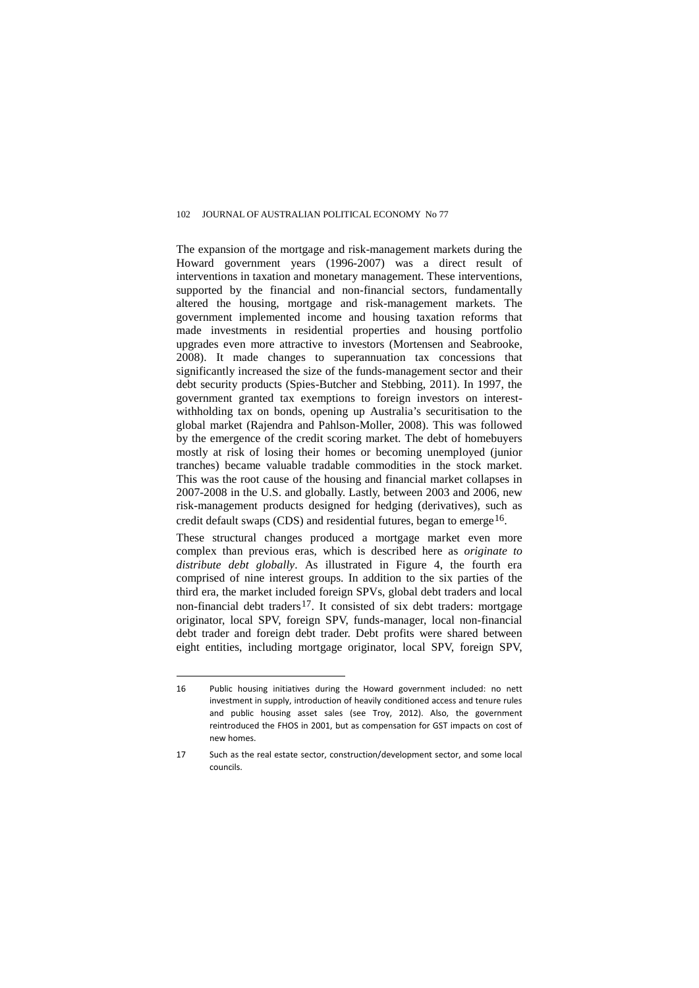The expansion of the mortgage and risk-management markets during the Howard government years (1996-2007) was a direct result of interventions in taxation and monetary management. These interventions, supported by the financial and non-financial sectors, fundamentally altered the housing, mortgage and risk-management markets. The government implemented income and housing taxation reforms that made investments in residential properties and housing portfolio upgrades even more attractive to investors (Mortensen and Seabrooke, 2008). It made changes to superannuation tax concessions that significantly increased the size of the funds-management sector and their debt security products (Spies-Butcher and Stebbing, 2011). In 1997, the government granted tax exemptions to foreign investors on interestwithholding tax on bonds, opening up Australia's securitisation to the global market (Rajendra and Pahlson-Moller, 2008). This was followed by the emergence of the credit scoring market. The debt of homebuyers mostly at risk of losing their homes or becoming unemployed (junior tranches) became valuable tradable commodities in the stock market. This was the root cause of the housing and financial market collapses in 2007-2008 in the U.S. and globally. Lastly, between 2003 and 2006, new risk-management products designed for hedging (derivatives), such as credit default swaps (CDS) and residential futures, began to emerge  $16$ .

These structural changes produced a mortgage market even more complex than previous eras, which is described here as *originate to distribute debt globally*. As illustrated in Figure 4, the fourth era comprised of nine interest groups. In addition to the six parties of the third era, the market included foreign SPVs, global debt traders and local non-financial debt traders<sup>[17](#page-23-1)</sup>. It consisted of six debt traders: mortgage originator, local SPV, foreign SPV, funds-manager, local non-financial debt trader and foreign debt trader. Debt profits were shared between eight entities, including mortgage originator, local SPV, foreign SPV,

<span id="page-23-0"></span><sup>16</sup> Public housing initiatives during the Howard government included: no nett investment in supply, introduction of heavily conditioned access and tenure rules and public housing asset sales (see Troy, 2012). Also, the government reintroduced the FHOS in 2001, but as compensation for GST impacts on cost of new homes.

<span id="page-23-1"></span><sup>17</sup> Such as the real estate sector, construction/development sector, and some local councils.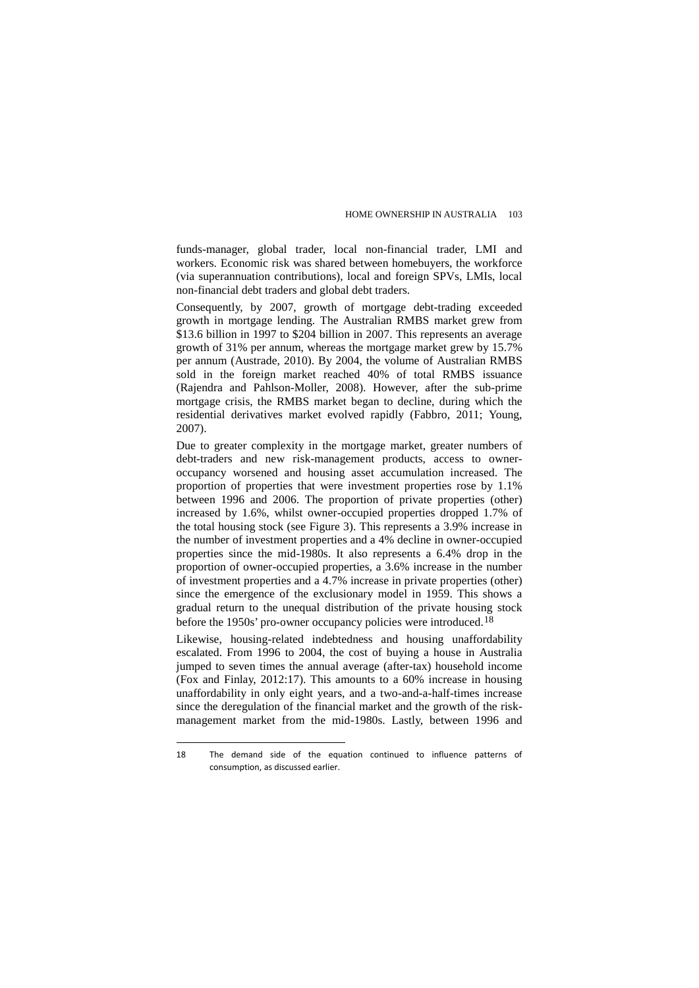funds-manager, global trader, local non-financial trader, LMI and workers. Economic risk was shared between homebuyers, the workforce (via superannuation contributions), local and foreign SPVs, LMIs, local non-financial debt traders and global debt traders.

Consequently, by 2007, growth of mortgage debt-trading exceeded growth in mortgage lending. The Australian RMBS market grew from \$13.6 billion in 1997 to \$204 billion in 2007. This represents an average growth of 31% per annum, whereas the mortgage market grew by 15.7% per annum (Austrade, 2010). By 2004, the volume of Australian RMBS sold in the foreign market reached 40% of total RMBS issuance (Rajendra and Pahlson-Moller, 2008). However, after the sub-prime mortgage crisis, the RMBS market began to decline, during which the residential derivatives market evolved rapidly (Fabbro, 2011; Young, 2007).

Due to greater complexity in the mortgage market, greater numbers of debt-traders and new risk-management products, access to owneroccupancy worsened and housing asset accumulation increased. The proportion of properties that were investment properties rose by 1.1% between 1996 and 2006. The proportion of private properties (other) increased by 1.6%, whilst owner-occupied properties dropped 1.7% of the total housing stock (see Figure 3). This represents a 3.9% increase in the number of investment properties and a 4% decline in owner-occupied properties since the mid-1980s. It also represents a 6.4% drop in the proportion of owner-occupied properties, a 3.6% increase in the number of investment properties and a 4.7% increase in private properties (other) since the emergence of the exclusionary model in 1959. This shows a gradual return to the unequal distribution of the private housing stock before the 1950s' pro-owner occupancy policies were introduced.<sup>18</sup>

Likewise, housing-related indebtedness and housing unaffordability escalated. From 1996 to 2004, the cost of buying a house in Australia jumped to seven times the annual average (after-tax) household income (Fox and Finlay, 2012:17). This amounts to a 60% increase in housing unaffordability in only eight years, and a two-and-a-half-times increase since the deregulation of the financial market and the growth of the riskmanagement market from the mid-1980s. Lastly, between 1996 and

<span id="page-24-0"></span><sup>18</sup> The demand side of the equation continued to influence patterns of consumption, as discussed earlier.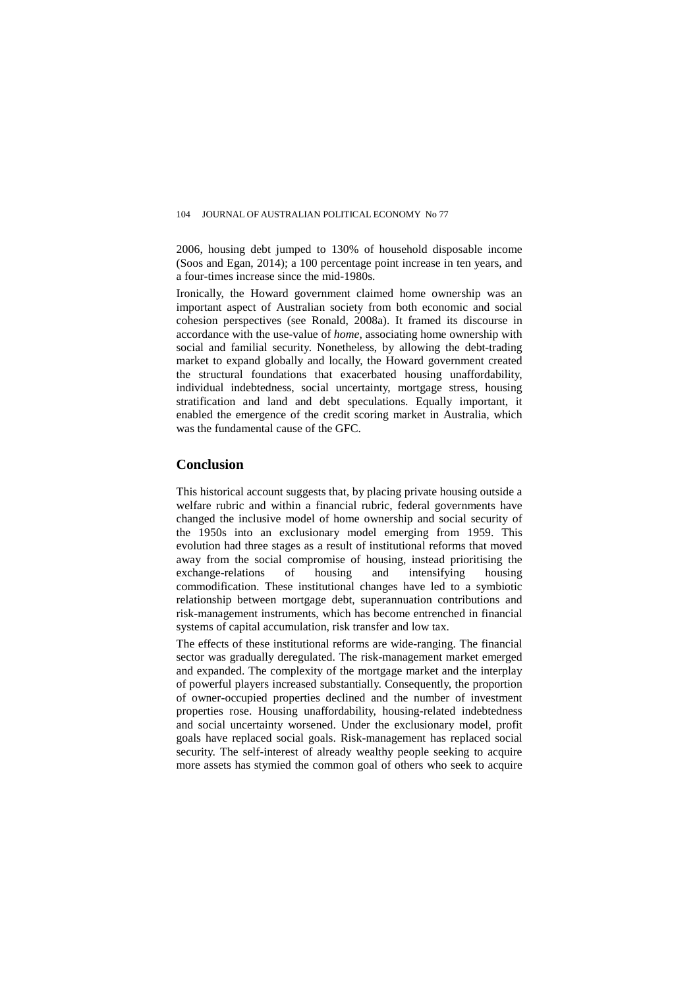2006, housing debt jumped to 130% of household disposable income (Soos and Egan, 2014); a 100 percentage point increase in ten years, and a four-times increase since the mid-1980s.

Ironically, the Howard government claimed home ownership was an important aspect of Australian society from both economic and social cohesion perspectives (see Ronald, 2008a). It framed its discourse in accordance with the use-value of *home,* associating home ownership with social and familial security. Nonetheless, by allowing the debt-trading market to expand globally and locally, the Howard government created the structural foundations that exacerbated housing unaffordability, individual indebtedness, social uncertainty, mortgage stress, housing stratification and land and debt speculations. Equally important, it enabled the emergence of the credit scoring market in Australia, which was the fundamental cause of the GFC.

## **Conclusion**

This historical account suggests that, by placing private housing outside a welfare rubric and within a financial rubric, federal governments have changed the inclusive model of home ownership and social security of the 1950s into an exclusionary model emerging from 1959. This evolution had three stages as a result of institutional reforms that moved away from the social compromise of housing, instead prioritising the exchange-relations of housing and intensifying housing commodification. These institutional changes have led to a symbiotic relationship between mortgage debt, superannuation contributions and risk-management instruments, which has become entrenched in financial systems of capital accumulation, risk transfer and low tax.

The effects of these institutional reforms are wide-ranging. The financial sector was gradually deregulated. The risk-management market emerged and expanded. The complexity of the mortgage market and the interplay of powerful players increased substantially. Consequently, the proportion of owner-occupied properties declined and the number of investment properties rose. Housing unaffordability, housing-related indebtedness and social uncertainty worsened. Under the exclusionary model, profit goals have replaced social goals. Risk-management has replaced social security. The self-interest of already wealthy people seeking to acquire more assets has stymied the common goal of others who seek to acquire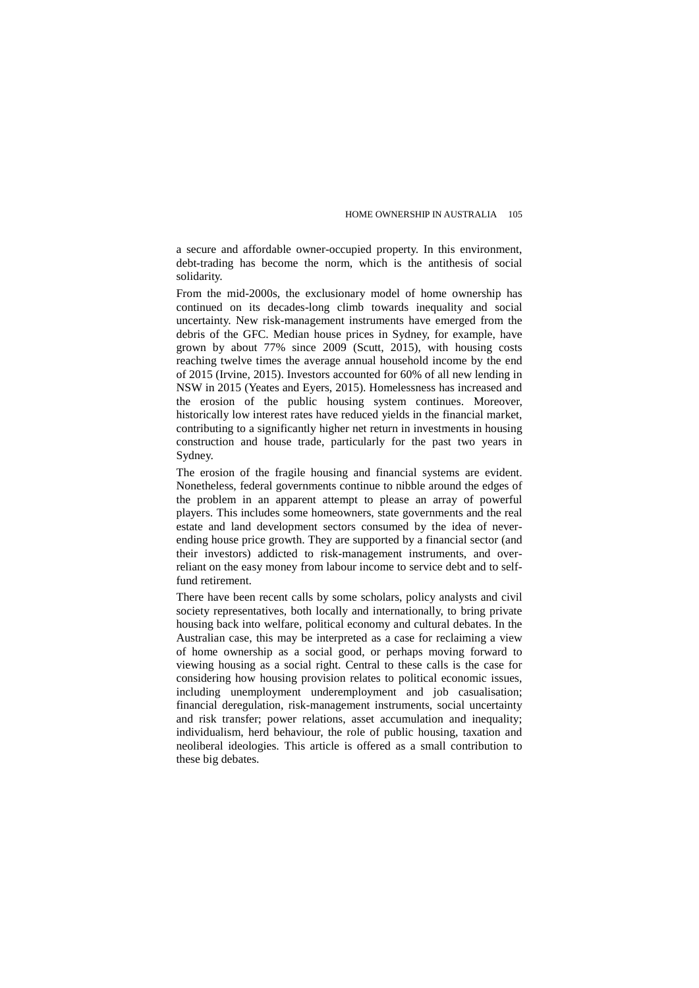a secure and affordable owner-occupied property. In this environment, debt-trading has become the norm, which is the antithesis of social solidarity.

From the mid-2000s, the exclusionary model of home ownership has continued on its decades-long climb towards inequality and social uncertainty. New risk-management instruments have emerged from the debris of the GFC. Median house prices in Sydney, for example, have grown by about 77% since 2009 (Scutt, 2015), with housing costs reaching twelve times the average annual household income by the end of 2015 (Irvine, 2015). Investors accounted for 60% of all new lending in NSW in 2015 (Yeates and Eyers, 2015). Homelessness has increased and the erosion of the public housing system continues. Moreover, historically low interest rates have reduced yields in the financial market, contributing to a significantly higher net return in investments in housing construction and house trade, particularly for the past two years in Sydney.

The erosion of the fragile housing and financial systems are evident. Nonetheless, federal governments continue to nibble around the edges of the problem in an apparent attempt to please an array of powerful players. This includes some homeowners, state governments and the real estate and land development sectors consumed by the idea of neverending house price growth. They are supported by a financial sector (and their investors) addicted to risk-management instruments, and overreliant on the easy money from labour income to service debt and to selffund retirement.

There have been recent calls by some scholars, policy analysts and civil society representatives, both locally and internationally, to bring private housing back into welfare, political economy and cultural debates. In the Australian case, this may be interpreted as a case for reclaiming a view of home ownership as a social good, or perhaps moving forward to viewing housing as a social right. Central to these calls is the case for considering how housing provision relates to political economic issues, including unemployment underemployment and job casualisation; financial deregulation, risk-management instruments, social uncertainty and risk transfer; power relations, asset accumulation and inequality; individualism, herd behaviour, the role of public housing, taxation and neoliberal ideologies. This article is offered as a small contribution to these big debates.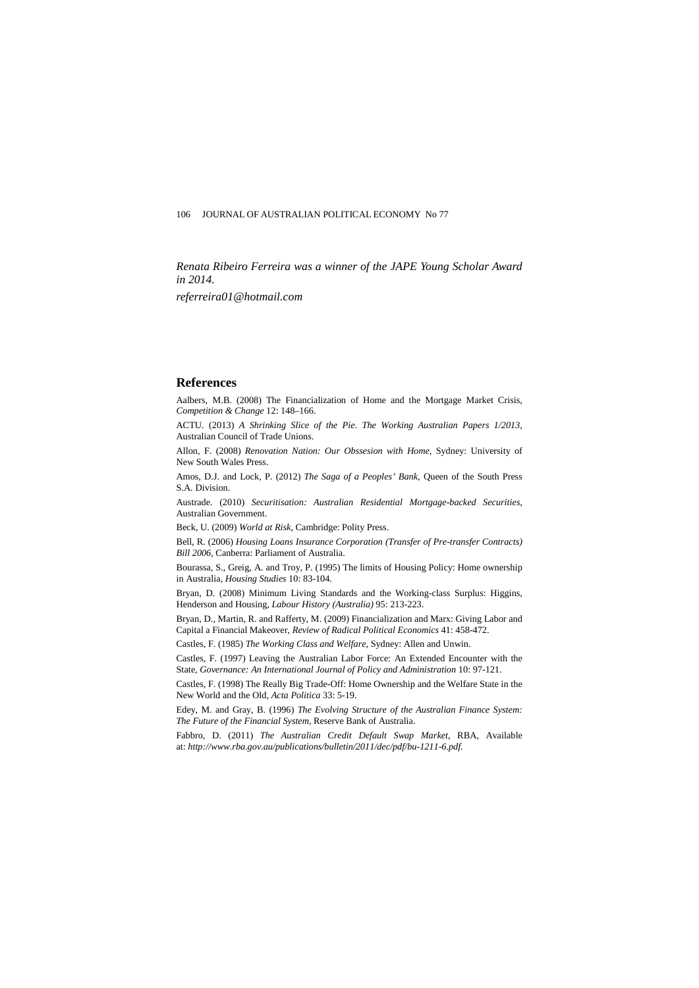*Renata Ribeiro Ferreira was a winner of the JAPE Young Scholar Award in 2014.* 

*referreira01@hotmail.com*

## **References**

Aalbers, M.B. (2008) The Financialization of Home and the Mortgage Market Crisis, *Competition & Change* 12: 148–166.

ACTU. (2013) *A Shrinking Slice of the Pie*. *The Working Australian Papers 1/2013,* Australian Council of Trade Unions.

Allon, F. (2008) *Renovation Nation: Our Obssesion with Home,* Sydney: University of New South Wales Press.

Amos, D.J. and Lock, P. (2012) *The Saga of a Peoples' Bank,* Queen of the South Press S.A. Division.

Austrade. (2010) *Securitisation: Australian Residential Mortgage-backed Securities,* Australian Government.

Beck, U. (2009) *World at Risk,* Cambridge: Polity Press.

Bell, R. (2006) *Housing Loans Insurance Corporation (Transfer of Pre-transfer Contracts) Bill 2006,* Canberra: Parliament of Australia.

Bourassa, S., Greig, A. and Troy, P. (1995) The limits of Housing Policy: Home ownership in Australia, *Housing Studies* 10: 83-104.

Bryan, D. (2008) Minimum Living Standards and the Working-class Surplus: Higgins, Henderson and Housing, *Labour History (Australia)* 95: 213-223.

Bryan, D., Martin, R. and Rafferty, M. (2009) Financialization and Marx: Giving Labor and Capital a Financial Makeover, *Review of Radical Political Economics* 41: 458-472.

Castles, F. (1985) *The Working Class and Welfare,* Sydney: Allen and Unwin.

Castles, F. (1997) Leaving the Australian Labor Force: An Extended Encounter with the State, *Governance: An International Journal of Policy and Administration* 10: 97-121.

Castles, F. (1998) The Really Big Trade-Off: Home Ownership and the Welfare State in the New World and the Old, *Acta Politica* 33: 5-19.

Edey, M. and Gray, B. (1996) *The Evolving Structure of the Australian Finance System: The Future of the Financial System,* Reserve Bank of Australia.

Fabbro, D. (2011) *The Australian Credit Default Swap Market,* RBA, Available at: *[http://www.rba.gov.au/publications/bulletin/2011/dec/pdf/bu-1211-6.pdf.](http://www.rba.gov.au/publications/bulletin/2011/dec/pdf/bu-1211-6.pdf)*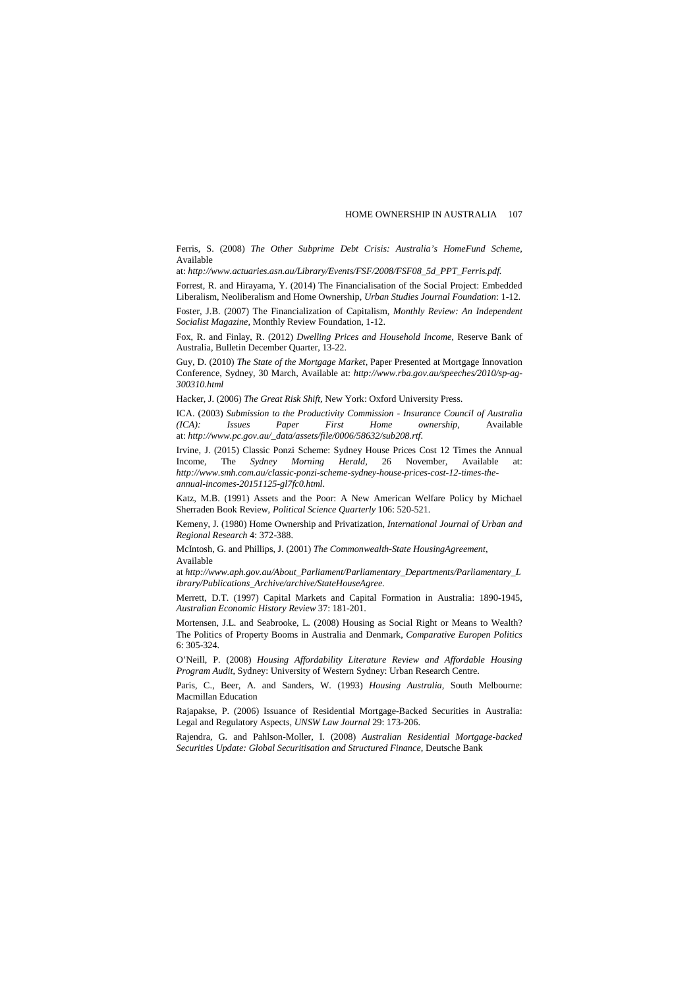Ferris, S. (2008) *The Other Subprime Debt Crisis: Australia's HomeFund Scheme,* Available

at: *[http://www.actuaries.asn.au/Library/Events/FSF/2008/FSF08\\_5d\\_PPT\\_Ferris.pdf.](http://www.actuaries.asn.au/Library/Events/FSF/2008/FSF08_5d_PPT_Ferris.pdf)* 

Forrest, R. and Hirayama, Y. (2014) The Financialisation of the Social Project: Embedded Liberalism, Neoliberalism and Home Ownership, *Urban Studies Journal Foundation*: 1-12. Foster, J.B. (2007) The Financialization of Capitalism, *Monthly Review: An Independent Socialist Magazine,* Monthly Review Foundation, 1-12.

Fox, R. and Finlay, R. (2012) *Dwelling Prices and Household Income,* Reserve Bank of Australia, Bulletin December Quarter, 13-22.

Guy, D. (2010) *The State of the Mortgage Market,* Paper Presented at Mortgage Innovation Conference, Sydney, 30 March, Available at: *http://www.rba.gov.au/speeches/2010/sp-ag-300310.html*

Hacker, J. (2006) *The Great Risk Shift,* New York: Oxford University Press.

ICA. (2003) *Submission to the Productivity Commission - Insurance Council of Australia (ICA): Issues Paper First Home ownership,* Available at: *[http://www.pc.gov.au/\\_data/assets/file/0006/58632/sub208.rtf](http://www.pc.gov.au/_data/assets/file/0006/58632/sub208.rtf)*.

Irvine, J. (2015) Classic Ponzi Scheme: Sydney House Prices Cost 12 Times the Annual Income. The *Sydney Morning Herald*, 26 November, Available at: The *Sydney Morning Herald*, 26 November, Available at: *http://www.smh.com.au/classic-ponzi-scheme-sydney-house-prices-cost-12-times-theannual-incomes-20151125-gl7fc0.html*.

Katz, M.B. (1991) Assets and the Poor: A New American Welfare Policy by Michael Sherraden Book Review, *Political Science Quarterly* 106: 520-521.

Kemeny, J. (1980) Home Ownership and Privatization, *International Journal of Urban and Regional Research* 4: 372-388.

McIntosh, G. and Phillips, J. (2001) *The Commonwealth-State HousingAgreement,*  Available

at *[http://www.aph.gov.au/About\\_Parliament/Parliamentary\\_Departments/Parliamentary\\_L](http://www.aph.gov.au/About_Parliament/Parliamentary_Departments/Parliamentary_Library/Publications_Archive/archive/StateHouseAgree) [ibrary/Publications\\_Archive/archive/StateHouseAgree.](http://www.aph.gov.au/About_Parliament/Parliamentary_Departments/Parliamentary_Library/Publications_Archive/archive/StateHouseAgree)*

Merrett, D.T. (1997) Capital Markets and Capital Formation in Australia: 1890-1945, *Australian Economic History Review* 37: 181-201.

Mortensen, J.L. and Seabrooke, L. (2008) Housing as Social Right or Means to Wealth? The Politics of Property Booms in Australia and Denmark, *Comparative Europen Politics* 6: 305-324.

O'Neill, P. (2008) *Housing Affordability Literature Review and Affordable Housing Program Audit*, Sydney: University of Western Sydney: Urban Research Centre.

Paris, C., Beer, A. and Sanders, W. (1993) *Housing Australia,* South Melbourne: Macmillan Education

Rajapakse, P. (2006) Issuance of Residential Mortgage-Backed Securities in Australia: Legal and Regulatory Aspects, *UNSW Law Journal* 29: 173-206.

Rajendra, G. and Pahlson-Moller, I. (2008) *Australian Residential Mortgage-backed Securities Update: Global Securitisation and Structured Finance,* Deutsche Bank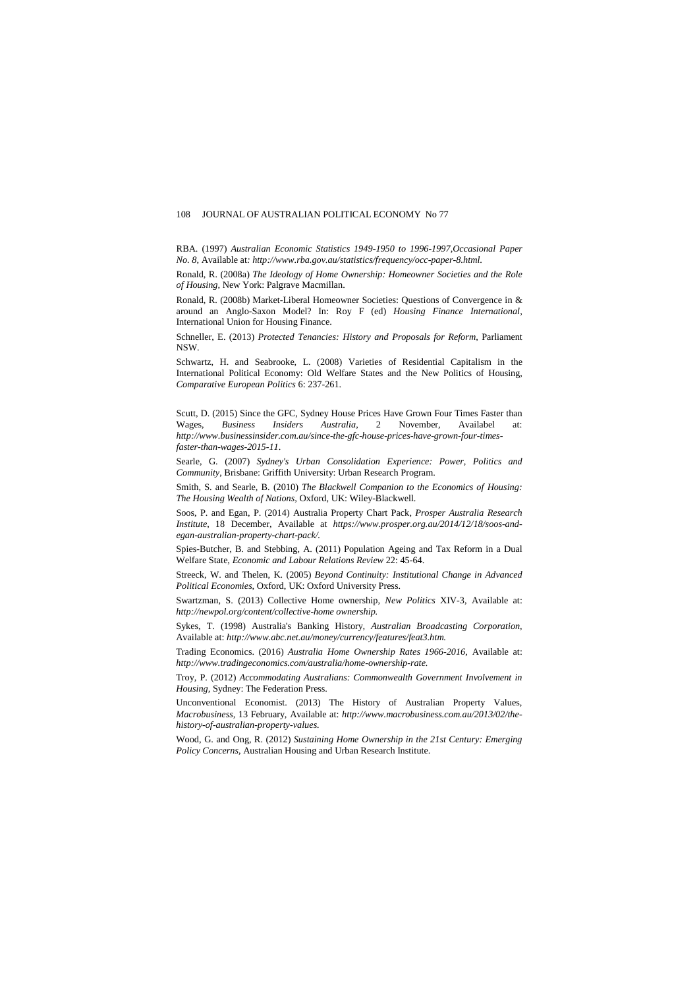RBA. (1997) *Australian Economic Statistics 1949-1950 to 1996-1997,Occasional Paper No. 8,* Available at*[: http://www.rba.gov.au/statistics/frequency/occ-paper-8.html](http://www.rba.gov.au/statistics/frequency/occ-paper-8.html)*.

Ronald, R. (2008a) *The Ideology of Home Ownership: Homeowner Societies and the Role of Housing,* New York: Palgrave Macmillan.

Ronald, R. (2008b) Market-Liberal Homeowner Societies: Questions of Convergence in & around an Anglo-Saxon Model? In: Roy F (ed) *Housing Finance International,* International Union for Housing Finance.

Schneller, E. (2013) *Protected Tenancies: History and Proposals for Reform,* Parliament NSW.

Schwartz, H. and Seabrooke, L. (2008) Varieties of Residential Capitalism in the International Political Economy: Old Welfare States and the New Politics of Housing, *Comparative European Politics* 6: 237-261.

Scutt, D. (2015) Since the GFC, Sydney House Prices Have Grown Four Times Faster than Wages, *Business Insiders Australia*, 2 November, Availabel at: *http://www.businessinsider.com.au/since-the-gfc-house-prices-have-grown-four-timesfaster-than-wages-2015-11*.

Searle, G. (2007) *Sydney's Urban Consolidation Experience: Power, Politics and Community*, Brisbane: Griffith University: Urban Research Program.

Smith, S. and Searle, B. (2010) *The Blackwell Companion to the Economics of Housing: The Housing Wealth of Nations,* Oxford, UK: Wiley-Blackwell.

Soos, P. and Egan, P. (2014) Australia Property Chart Pack*, Prosper Australia Research Institute*, 18 December, Available at *https://www.prosper.org.au/2014/12/18/soos-andegan-australian-property-chart-pack/.*

Spies-Butcher, B. and Stebbing, A. (2011) Population Ageing and Tax Reform in a Dual Welfare State, *Economic and Labour Relations Review* 22: 45-64.

Streeck, W. and Thelen, K. (2005) *Beyond Continuity: Institutional Change in Advanced Political Economies,* Oxford, UK: Oxford University Press.

Swartzman, S. (2013) Collective Home ownership, *New Politics* XIV-3, Available at: *http://newpol.org/content/collective-home ownership.*

Sykes, T. (1998) Australia's Banking History*, Australian Broadcasting Corporation,*  Available at: *[http://www.abc.net.au/money/currency/features/feat3.htm.](http://www.abc.net.au/money/currency/features/feat3.htm)* 

Trading Economics. (2016) *Australia Home Ownership Rates 1966-2016,* Available at: *http://www.tradingeconomics.com/australia/home-ownership-rate.*

Troy, P. (2012) *Accommodating Australians: Commonwealth Government Involvement in Housing,* Sydney: The Federation Press.

Unconventional Economist. (2013) The History of Australian Property Values, *Macrobusiness,* 13 February, Available at: *http://www.macrobusiness.com.au/2013/02/thehistory-of-australian-property-values.*

Wood, G. and Ong, R. (2012) *Sustaining Home Ownership in the 21st Century: Emerging Policy Concerns,* Australian Housing and Urban Research Institute.